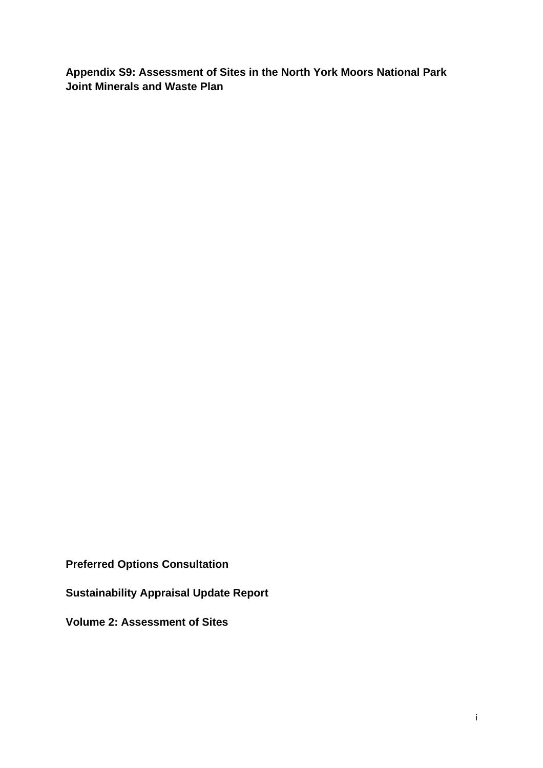**Appendix S9: Assessment of Sites in the North York Moors National Park Joint Minerals and Waste Plan** 

**Preferred Options Consultation** 

**Sustainability Appraisal Update Report** 

**Volume 2: Assessment of Sites**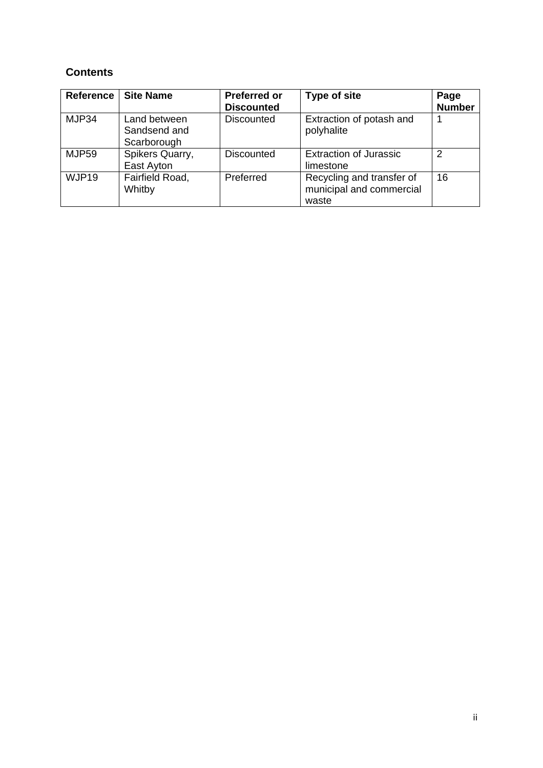## **Contents**

| <b>Reference</b> | <b>Site Name</b>                            | <b>Preferred or</b><br><b>Discounted</b> | <b>Type of site</b>                                            | Page<br><b>Number</b> |
|------------------|---------------------------------------------|------------------------------------------|----------------------------------------------------------------|-----------------------|
| MJP34            | Land between<br>Sandsend and<br>Scarborough | <b>Discounted</b>                        | Extraction of potash and<br>polyhalite                         | 1                     |
| MJP59            | Spikers Quarry,<br>East Ayton               | <b>Discounted</b>                        | <b>Extraction of Jurassic</b><br>limestone                     | $\mathcal{P}$         |
| WJP19            | Fairfield Road,<br>Whitby                   | Preferred                                | Recycling and transfer of<br>municipal and commercial<br>waste | 16                    |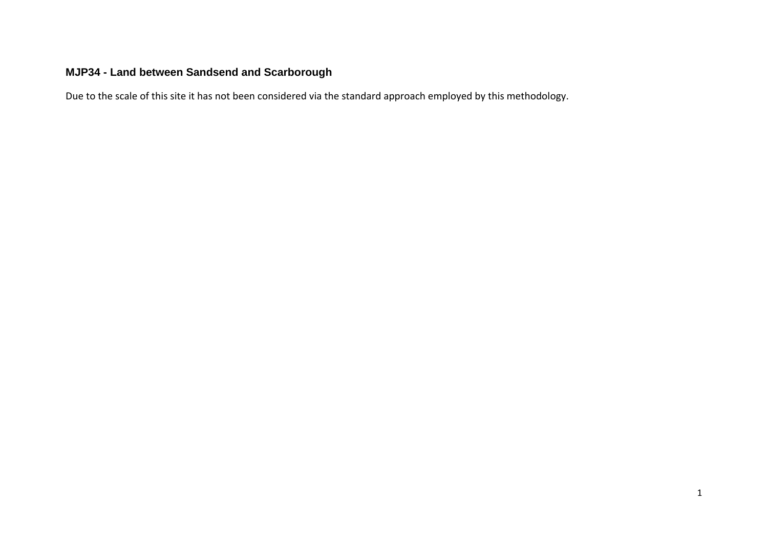# **MJP34 - Land between Sandsend and Scarborough**

Due to the scale of this site it has not been considered via the standard approach employed by this methodology.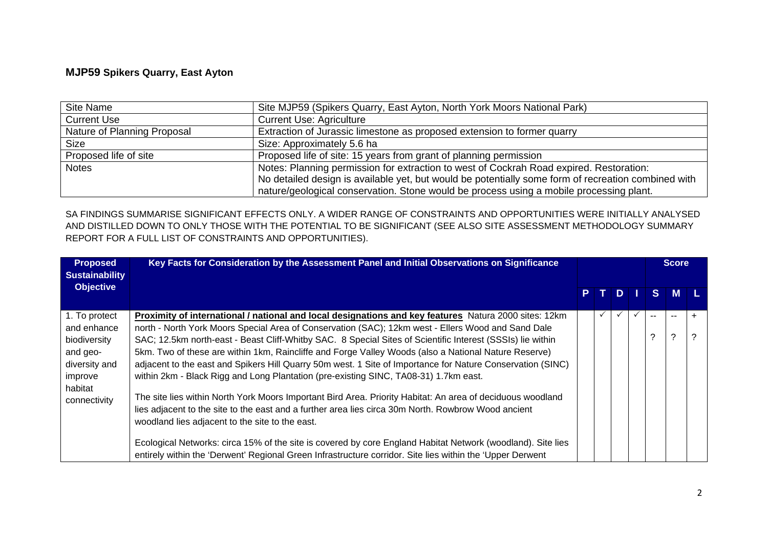### **MJP59 Spikers Quarry, East Ayton**

| Site Name                   | Site MJP59 (Spikers Quarry, East Ayton, North York Moors National Park)                             |
|-----------------------------|-----------------------------------------------------------------------------------------------------|
| <b>Current Use</b>          | <b>Current Use: Agriculture</b>                                                                     |
| Nature of Planning Proposal | Extraction of Jurassic limestone as proposed extension to former quarry                             |
| <b>Size</b>                 | Size: Approximately 5.6 ha                                                                          |
| Proposed life of site       | Proposed life of site: 15 years from grant of planning permission                                   |
| <b>Notes</b>                | Notes: Planning permission for extraction to west of Cockrah Road expired. Restoration:             |
|                             | No detailed design is available yet, but would be potentially some form of recreation combined with |
|                             | nature/geological conservation. Stone would be process using a mobile processing plant.             |

SA FINDINGS SUMMARISE SIGNIFICANT EFFECTS ONLY. A WIDER RANGE OF CONSTRAINTS AND OPPORTUNITIES WERE INITIALLY ANALYSED AND DISTILLED DOWN TO ONLY THOSE WITH THE POTENTIAL TO BE SIGNIFICANT (SEE ALSO SITE ASSESSMENT METHODOLOGY SUMMARY REPORT FOR A FULL LIST OF CONSTRAINTS AND OPPORTUNITIES).

| <b>Proposed</b><br><b>Sustainability</b> | Key Facts for Consideration by the Assessment Panel and Initial Observations on Significance                                                                                                                             |   |   |   |   |     |       |  | <b>Score</b> |  |
|------------------------------------------|--------------------------------------------------------------------------------------------------------------------------------------------------------------------------------------------------------------------------|---|---|---|---|-----|-------|--|--------------|--|
| <b>Objective</b>                         |                                                                                                                                                                                                                          | P |   | D |   |     | S M   |  |              |  |
| 1. To protect                            | <b>Proximity of international / national and local designations and key features</b> Natura 2000 sites: 12km                                                                                                             |   | ✓ |   | ✓ | $-$ | $- -$ |  |              |  |
| and enhance<br>biodiversity              | north - North York Moors Special Area of Conservation (SAC); 12km west - Ellers Wood and Sand Dale<br>SAC; 12.5km north-east - Beast Cliff-Whitby SAC. 8 Special Sites of Scientific Interest (SSSIs) lie within         |   |   |   |   | ⌒   | ?     |  |              |  |
| and geo-<br>diversity and                | 5km. Two of these are within 1km, Raincliffe and Forge Valley Woods (also a National Nature Reserve)<br>adjacent to the east and Spikers Hill Quarry 50m west. 1 Site of Importance for Nature Conservation (SINC)       |   |   |   |   |     |       |  |              |  |
| improve<br>habitat                       | within 2km - Black Rigg and Long Plantation (pre-existing SINC, TA08-31) 1.7km east.                                                                                                                                     |   |   |   |   |     |       |  |              |  |
| connectivity                             | The site lies within North York Moors Important Bird Area. Priority Habitat: An area of deciduous woodland<br>lies adjacent to the site to the east and a further area lies circa 30m North. Rowbrow Wood ancient        |   |   |   |   |     |       |  |              |  |
|                                          | woodland lies adjacent to the site to the east.                                                                                                                                                                          |   |   |   |   |     |       |  |              |  |
|                                          | Ecological Networks: circa 15% of the site is covered by core England Habitat Network (woodland). Site lies<br>entirely within the 'Derwent' Regional Green Infrastructure corridor. Site lies within the 'Upper Derwent |   |   |   |   |     |       |  |              |  |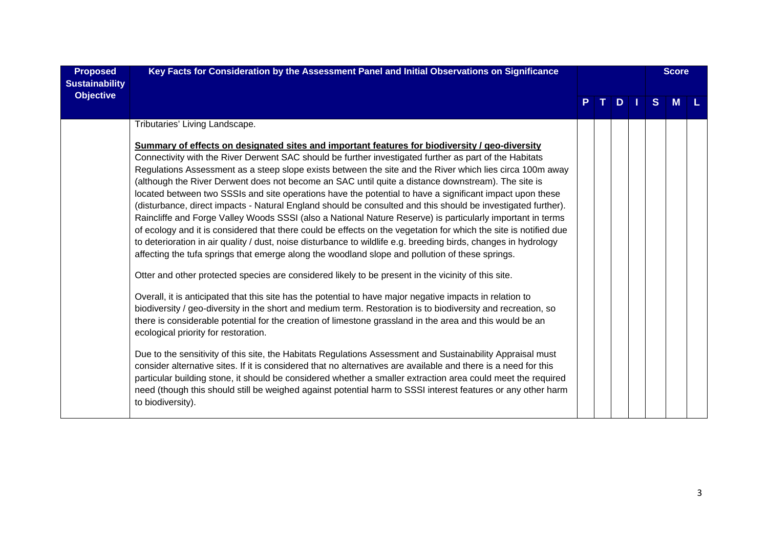| <b>Proposed</b><br><b>Sustainability</b> | Key Facts for Consideration by the Assessment Panel and Initial Observations on Significance                                                                                                                                                                                                                                                                                                                                                                                                                                                                                                                                                                                                                                                                                                                                                                                                                                                                                                                                                                                                                                                                                                                                                                                                                                                                                                                                                                                                                                                                                                                                                                                                                                                                                                                                                                                                                                                                                                                                                                                                 |  |    |               |  |              | <b>Score</b> |  |
|------------------------------------------|----------------------------------------------------------------------------------------------------------------------------------------------------------------------------------------------------------------------------------------------------------------------------------------------------------------------------------------------------------------------------------------------------------------------------------------------------------------------------------------------------------------------------------------------------------------------------------------------------------------------------------------------------------------------------------------------------------------------------------------------------------------------------------------------------------------------------------------------------------------------------------------------------------------------------------------------------------------------------------------------------------------------------------------------------------------------------------------------------------------------------------------------------------------------------------------------------------------------------------------------------------------------------------------------------------------------------------------------------------------------------------------------------------------------------------------------------------------------------------------------------------------------------------------------------------------------------------------------------------------------------------------------------------------------------------------------------------------------------------------------------------------------------------------------------------------------------------------------------------------------------------------------------------------------------------------------------------------------------------------------------------------------------------------------------------------------------------------------|--|----|---------------|--|--------------|--------------|--|
| <b>Objective</b>                         |                                                                                                                                                                                                                                                                                                                                                                                                                                                                                                                                                                                                                                                                                                                                                                                                                                                                                                                                                                                                                                                                                                                                                                                                                                                                                                                                                                                                                                                                                                                                                                                                                                                                                                                                                                                                                                                                                                                                                                                                                                                                                              |  | т. | $D \mid \mid$ |  | <sub>S</sub> | <b>M</b>     |  |
|                                          | Tributaries' Living Landscape.                                                                                                                                                                                                                                                                                                                                                                                                                                                                                                                                                                                                                                                                                                                                                                                                                                                                                                                                                                                                                                                                                                                                                                                                                                                                                                                                                                                                                                                                                                                                                                                                                                                                                                                                                                                                                                                                                                                                                                                                                                                               |  |    |               |  |              |              |  |
|                                          | Summary of effects on designated sites and important features for biodiversity / geo-diversity<br>Connectivity with the River Derwent SAC should be further investigated further as part of the Habitats<br>Regulations Assessment as a steep slope exists between the site and the River which lies circa 100m away<br>(although the River Derwent does not become an SAC until quite a distance downstream). The site is<br>located between two SSSIs and site operations have the potential to have a significant impact upon these<br>(disturbance, direct impacts - Natural England should be consulted and this should be investigated further).<br>Raincliffe and Forge Valley Woods SSSI (also a National Nature Reserve) is particularly important in terms<br>of ecology and it is considered that there could be effects on the vegetation for which the site is notified due<br>to deterioration in air quality / dust, noise disturbance to wildlife e.g. breeding birds, changes in hydrology<br>affecting the tufa springs that emerge along the woodland slope and pollution of these springs.<br>Otter and other protected species are considered likely to be present in the vicinity of this site.<br>Overall, it is anticipated that this site has the potential to have major negative impacts in relation to<br>biodiversity / geo-diversity in the short and medium term. Restoration is to biodiversity and recreation, so<br>there is considerable potential for the creation of limestone grassland in the area and this would be an<br>ecological priority for restoration.<br>Due to the sensitivity of this site, the Habitats Regulations Assessment and Sustainability Appraisal must<br>consider alternative sites. If it is considered that no alternatives are available and there is a need for this<br>particular building stone, it should be considered whether a smaller extraction area could meet the required<br>need (though this should still be weighed against potential harm to SSSI interest features or any other harm<br>to biodiversity). |  |    |               |  |              |              |  |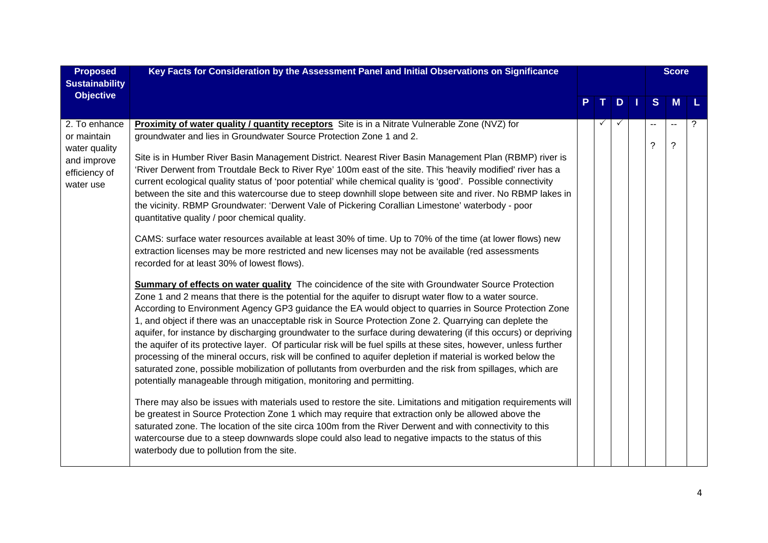| <b>Proposed</b><br><b>Sustainability</b>                                                   | Key Facts for Consideration by the Assessment Panel and Initial Observations on Significance                                                                                                                                                                                                                                                                                                                                                                                                                                                                                                                                                                                                                                                                                                                                                                                                                                                                                                                                                                                                                                                                                                                                                                                                                                                                                                                                                                                                                                                                                                                                                                                                                                                        |  |   |         | <b>Score</b>                 |   |
|--------------------------------------------------------------------------------------------|-----------------------------------------------------------------------------------------------------------------------------------------------------------------------------------------------------------------------------------------------------------------------------------------------------------------------------------------------------------------------------------------------------------------------------------------------------------------------------------------------------------------------------------------------------------------------------------------------------------------------------------------------------------------------------------------------------------------------------------------------------------------------------------------------------------------------------------------------------------------------------------------------------------------------------------------------------------------------------------------------------------------------------------------------------------------------------------------------------------------------------------------------------------------------------------------------------------------------------------------------------------------------------------------------------------------------------------------------------------------------------------------------------------------------------------------------------------------------------------------------------------------------------------------------------------------------------------------------------------------------------------------------------------------------------------------------------------------------------------------------------|--|---|---------|------------------------------|---|
| <b>Objective</b>                                                                           |                                                                                                                                                                                                                                                                                                                                                                                                                                                                                                                                                                                                                                                                                                                                                                                                                                                                                                                                                                                                                                                                                                                                                                                                                                                                                                                                                                                                                                                                                                                                                                                                                                                                                                                                                     |  | D | S       | M                            |   |
| 2. To enhance<br>or maintain<br>water quality<br>and improve<br>efficiency of<br>water use | <b>Proximity of water quality / quantity receptors</b> Site is in a Nitrate Vulnerable Zone (NVZ) for<br>groundwater and lies in Groundwater Source Protection Zone 1 and 2.<br>Site is in Humber River Basin Management District. Nearest River Basin Management Plan (RBMP) river is<br>'River Derwent from Troutdale Beck to River Rye' 100m east of the site. This 'heavily modified' river has a<br>current ecological quality status of 'poor potential' while chemical quality is 'good'. Possible connectivity<br>between the site and this watercourse due to steep downhill slope between site and river. No RBMP lakes in<br>the vicinity. RBMP Groundwater: 'Derwent Vale of Pickering Corallian Limestone' waterbody - poor<br>quantitative quality / poor chemical quality.                                                                                                                                                                                                                                                                                                                                                                                                                                                                                                                                                                                                                                                                                                                                                                                                                                                                                                                                                           |  |   | --<br>? | $\sim$ $\sim$<br>$\tilde{?}$ | ? |
|                                                                                            | CAMS: surface water resources available at least 30% of time. Up to 70% of the time (at lower flows) new<br>extraction licenses may be more restricted and new licenses may not be available (red assessments<br>recorded for at least 30% of lowest flows).<br><b>Summary of effects on water quality</b> The coincidence of the site with Groundwater Source Protection<br>Zone 1 and 2 means that there is the potential for the aquifer to disrupt water flow to a water source.<br>According to Environment Agency GP3 guidance the EA would object to quarries in Source Protection Zone<br>1, and object if there was an unacceptable risk in Source Protection Zone 2. Quarrying can deplete the<br>aquifer, for instance by discharging groundwater to the surface during dewatering (if this occurs) or depriving<br>the aquifer of its protective layer. Of particular risk will be fuel spills at these sites, however, unless further<br>processing of the mineral occurs, risk will be confined to aquifer depletion if material is worked below the<br>saturated zone, possible mobilization of pollutants from overburden and the risk from spillages, which are<br>potentially manageable through mitigation, monitoring and permitting.<br>There may also be issues with materials used to restore the site. Limitations and mitigation requirements will<br>be greatest in Source Protection Zone 1 which may require that extraction only be allowed above the<br>saturated zone. The location of the site circa 100m from the River Derwent and with connectivity to this<br>watercourse due to a steep downwards slope could also lead to negative impacts to the status of this<br>waterbody due to pollution from the site. |  |   |         |                              |   |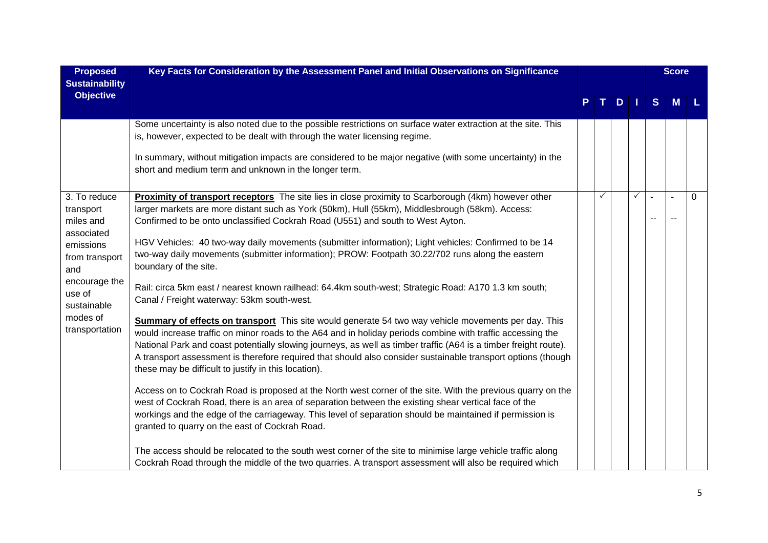| <b>Proposed</b>                           | Key Facts for Consideration by the Assessment Panel and Initial Observations on Significance                                                                                                                                                                                                                                                                                                                                                                                                                  |   |     |   |     | <b>Score</b>   |   |
|-------------------------------------------|---------------------------------------------------------------------------------------------------------------------------------------------------------------------------------------------------------------------------------------------------------------------------------------------------------------------------------------------------------------------------------------------------------------------------------------------------------------------------------------------------------------|---|-----|---|-----|----------------|---|
| <b>Sustainability</b><br><b>Objective</b> |                                                                                                                                                                                                                                                                                                                                                                                                                                                                                                               |   |     |   |     |                |   |
|                                           |                                                                                                                                                                                                                                                                                                                                                                                                                                                                                                               |   | $D$ |   | S   | M              |   |
|                                           | Some uncertainty is also noted due to the possible restrictions on surface water extraction at the site. This<br>is, however, expected to be dealt with through the water licensing regime.<br>In summary, without mitigation impacts are considered to be major negative (with some uncertainty) in the<br>short and medium term and unknown in the longer term.                                                                                                                                             |   |     |   |     |                |   |
| 3. To reduce<br>transport                 | Proximity of transport receptors The site lies in close proximity to Scarborough (4km) however other<br>larger markets are more distant such as York (50km), Hull (55km), Middlesbrough (58km). Access:                                                                                                                                                                                                                                                                                                       | ✓ |     | ✓ |     | $\overline{a}$ | 0 |
| miles and<br>associated                   | Confirmed to be onto unclassified Cockrah Road (U551) and south to West Ayton.                                                                                                                                                                                                                                                                                                                                                                                                                                |   |     |   | $-$ |                |   |
| emissions<br>from transport<br>and        | HGV Vehicles: 40 two-way daily movements (submitter information); Light vehicles: Confirmed to be 14<br>two-way daily movements (submitter information); PROW: Footpath 30.22/702 runs along the eastern<br>boundary of the site.                                                                                                                                                                                                                                                                             |   |     |   |     |                |   |
| encourage the<br>use of<br>sustainable    | Rail: circa 5km east / nearest known railhead: 64.4km south-west; Strategic Road: A170 1.3 km south;<br>Canal / Freight waterway: 53km south-west.                                                                                                                                                                                                                                                                                                                                                            |   |     |   |     |                |   |
| modes of<br>transportation                | Summary of effects on transport This site would generate 54 two way vehicle movements per day. This<br>would increase traffic on minor roads to the A64 and in holiday periods combine with traffic accessing the<br>National Park and coast potentially slowing journeys, as well as timber traffic (A64 is a timber freight route).<br>A transport assessment is therefore required that should also consider sustainable transport options (though<br>these may be difficult to justify in this location). |   |     |   |     |                |   |
|                                           | Access on to Cockrah Road is proposed at the North west corner of the site. With the previous quarry on the<br>west of Cockrah Road, there is an area of separation between the existing shear vertical face of the<br>workings and the edge of the carriageway. This level of separation should be maintained if permission is<br>granted to quarry on the east of Cockrah Road.                                                                                                                             |   |     |   |     |                |   |
|                                           | The access should be relocated to the south west corner of the site to minimise large vehicle traffic along<br>Cockrah Road through the middle of the two quarries. A transport assessment will also be required which                                                                                                                                                                                                                                                                                        |   |     |   |     |                |   |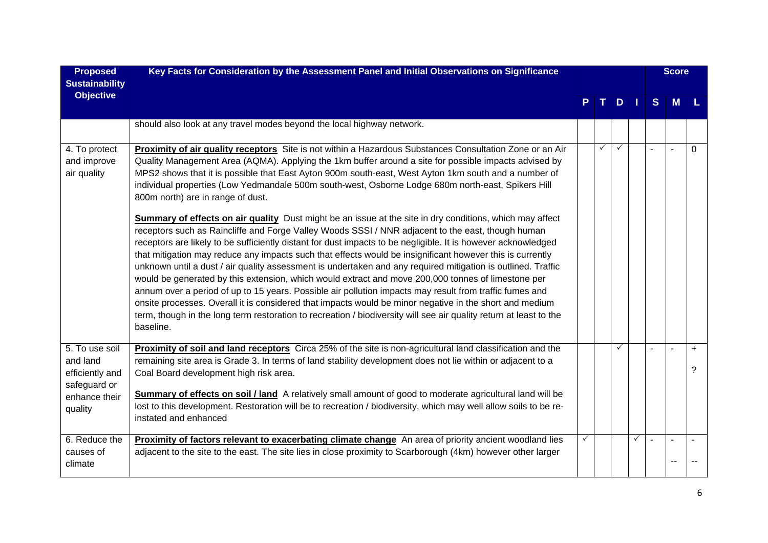| <b>Proposed</b><br><b>Sustainability</b>                                                  | Key Facts for Consideration by the Assessment Panel and Initial Observations on Significance                                                                                                                                                                                                                                                                                                                                                                                                                                                                                                                                                                                                                                                                                                              | D. |   |   |  |   |   | <b>Score</b>                |
|-------------------------------------------------------------------------------------------|-----------------------------------------------------------------------------------------------------------------------------------------------------------------------------------------------------------------------------------------------------------------------------------------------------------------------------------------------------------------------------------------------------------------------------------------------------------------------------------------------------------------------------------------------------------------------------------------------------------------------------------------------------------------------------------------------------------------------------------------------------------------------------------------------------------|----|---|---|--|---|---|-----------------------------|
| <b>Objective</b>                                                                          |                                                                                                                                                                                                                                                                                                                                                                                                                                                                                                                                                                                                                                                                                                                                                                                                           |    |   |   |  | S | М |                             |
|                                                                                           | should also look at any travel modes beyond the local highway network.                                                                                                                                                                                                                                                                                                                                                                                                                                                                                                                                                                                                                                                                                                                                    |    |   |   |  |   |   |                             |
| 4. To protect<br>and improve<br>air quality                                               | Proximity of air quality receptors Site is not within a Hazardous Substances Consultation Zone or an Air<br>Quality Management Area (AQMA). Applying the 1km buffer around a site for possible impacts advised by<br>MPS2 shows that it is possible that East Ayton 900m south-east, West Ayton 1km south and a number of<br>individual properties (Low Yedmandale 500m south-west, Osborne Lodge 680m north-east, Spikers Hill<br>800m north) are in range of dust.<br><b>Summary of effects on air quality</b> Dust might be an issue at the site in dry conditions, which may affect<br>receptors such as Raincliffe and Forge Valley Woods SSSI / NNR adjacent to the east, though human                                                                                                              |    | ✓ | ✓ |  |   |   | $\Omega$                    |
|                                                                                           | receptors are likely to be sufficiently distant for dust impacts to be negligible. It is however acknowledged<br>that mitigation may reduce any impacts such that effects would be insignificant however this is currently<br>unknown until a dust / air quality assessment is undertaken and any required mitigation is outlined. Traffic<br>would be generated by this extension, which would extract and move 200,000 tonnes of limestone per<br>annum over a period of up to 15 years. Possible air pollution impacts may result from traffic fumes and<br>onsite processes. Overall it is considered that impacts would be minor negative in the short and medium<br>term, though in the long term restoration to recreation / biodiversity will see air quality return at least to the<br>baseline. |    |   |   |  |   |   |                             |
| 5. To use soil<br>and land<br>efficiently and<br>safeguard or<br>enhance their<br>quality | Proximity of soil and land receptors Circa 25% of the site is non-agricultural land classification and the<br>remaining site area is Grade 3. In terms of land stability development does not lie within or adjacent to a<br>Coal Board development high risk area.<br>Summary of effects on soil / land A relatively small amount of good to moderate agricultural land will be<br>lost to this development. Restoration will be to recreation / biodiversity, which may well allow soils to be re-<br>instated and enhanced                                                                                                                                                                                                                                                                             |    |   | ✓ |  |   |   | $\ddot{}$<br>$\overline{?}$ |
| 6. Reduce the<br>causes of<br>climate                                                     | Proximity of factors relevant to exacerbating climate change An area of priority ancient woodland lies<br>adjacent to the site to the east. The site lies in close proximity to Scarborough (4km) however other larger                                                                                                                                                                                                                                                                                                                                                                                                                                                                                                                                                                                    | ✓  |   |   |  |   |   |                             |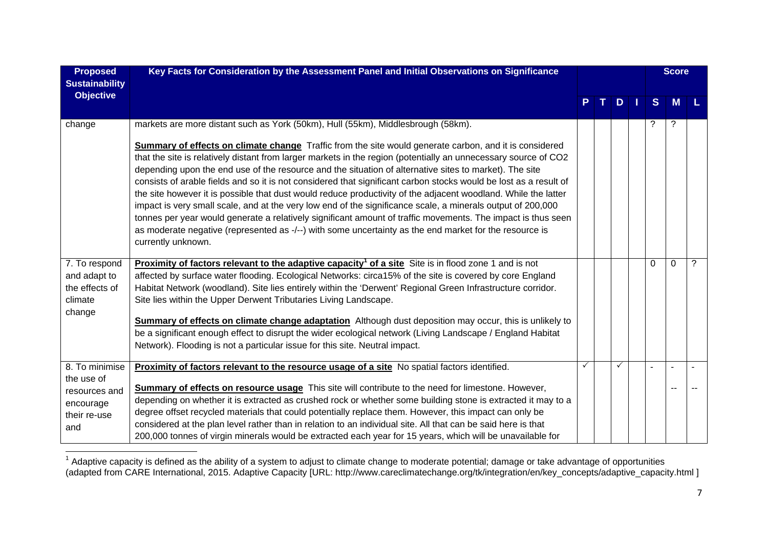| <b>Proposed</b><br><b>Sustainability</b> | Key Facts for Consideration by the Assessment Panel and Initial Observations on Significance                                                                                                                                                                                                                                                                                                                                                                                                                                                                                                                                                                                                                                                                                                                                                                                                                                              |    |                |    |      | <b>Score</b> |             |   |
|------------------------------------------|-------------------------------------------------------------------------------------------------------------------------------------------------------------------------------------------------------------------------------------------------------------------------------------------------------------------------------------------------------------------------------------------------------------------------------------------------------------------------------------------------------------------------------------------------------------------------------------------------------------------------------------------------------------------------------------------------------------------------------------------------------------------------------------------------------------------------------------------------------------------------------------------------------------------------------------------|----|----------------|----|------|--------------|-------------|---|
| <b>Objective</b>                         |                                                                                                                                                                                                                                                                                                                                                                                                                                                                                                                                                                                                                                                                                                                                                                                                                                                                                                                                           | P. | $\mathbf{T}$ . | D. | - 11 | S            | M           |   |
| change                                   | markets are more distant such as York (50km), Hull (55km), Middlesbrough (58km).                                                                                                                                                                                                                                                                                                                                                                                                                                                                                                                                                                                                                                                                                                                                                                                                                                                          |    |                |    |      | ?            | ?           |   |
|                                          | Summary of effects on climate change Traffic from the site would generate carbon, and it is considered<br>that the site is relatively distant from larger markets in the region (potentially an unnecessary source of CO2<br>depending upon the end use of the resource and the situation of alternative sites to market). The site<br>consists of arable fields and so it is not considered that significant carbon stocks would be lost as a result of<br>the site however it is possible that dust would reduce productivity of the adjacent woodland. While the latter<br>impact is very small scale, and at the very low end of the significance scale, a minerals output of 200,000<br>tonnes per year would generate a relatively significant amount of traffic movements. The impact is thus seen<br>as moderate negative (represented as -/--) with some uncertainty as the end market for the resource is<br>currently unknown. |    |                |    |      |              |             |   |
| 7. To respond<br>and adapt to            | <b>Proximity of factors relevant to the adaptive capacity<sup>1</sup> of a site Site is in flood zone 1 and is not</b><br>affected by surface water flooding. Ecological Networks: circa15% of the site is covered by core England                                                                                                                                                                                                                                                                                                                                                                                                                                                                                                                                                                                                                                                                                                        |    |                |    |      | $\Omega$     | $\mathbf 0$ | ? |
| the effects of                           | Habitat Network (woodland). Site lies entirely within the 'Derwent' Regional Green Infrastructure corridor.                                                                                                                                                                                                                                                                                                                                                                                                                                                                                                                                                                                                                                                                                                                                                                                                                               |    |                |    |      |              |             |   |
| climate<br>change                        | Site lies within the Upper Derwent Tributaries Living Landscape.                                                                                                                                                                                                                                                                                                                                                                                                                                                                                                                                                                                                                                                                                                                                                                                                                                                                          |    |                |    |      |              |             |   |
|                                          | Summary of effects on climate change adaptation Although dust deposition may occur, this is unlikely to                                                                                                                                                                                                                                                                                                                                                                                                                                                                                                                                                                                                                                                                                                                                                                                                                                   |    |                |    |      |              |             |   |
|                                          | be a significant enough effect to disrupt the wider ecological network (Living Landscape / England Habitat<br>Network). Flooding is not a particular issue for this site. Neutral impact.                                                                                                                                                                                                                                                                                                                                                                                                                                                                                                                                                                                                                                                                                                                                                 |    |                |    |      |              |             |   |
|                                          |                                                                                                                                                                                                                                                                                                                                                                                                                                                                                                                                                                                                                                                                                                                                                                                                                                                                                                                                           |    |                |    |      |              |             |   |
| 8. To minimise<br>the use of             | Proximity of factors relevant to the resource usage of a site No spatial factors identified.                                                                                                                                                                                                                                                                                                                                                                                                                                                                                                                                                                                                                                                                                                                                                                                                                                              |    |                |    |      |              |             |   |
| resources and                            | Summary of effects on resource usage This site will contribute to the need for limestone. However,                                                                                                                                                                                                                                                                                                                                                                                                                                                                                                                                                                                                                                                                                                                                                                                                                                        |    |                |    |      |              |             |   |
| encourage                                | depending on whether it is extracted as crushed rock or whether some building stone is extracted it may to a<br>degree offset recycled materials that could potentially replace them. However, this impact can only be                                                                                                                                                                                                                                                                                                                                                                                                                                                                                                                                                                                                                                                                                                                    |    |                |    |      |              |             |   |
| their re-use<br>and                      | considered at the plan level rather than in relation to an individual site. All that can be said here is that                                                                                                                                                                                                                                                                                                                                                                                                                                                                                                                                                                                                                                                                                                                                                                                                                             |    |                |    |      |              |             |   |
|                                          | 200,000 tonnes of virgin minerals would be extracted each year for 15 years, which will be unavailable for                                                                                                                                                                                                                                                                                                                                                                                                                                                                                                                                                                                                                                                                                                                                                                                                                                |    |                |    |      |              |             |   |

 $1$  Adaptive capacity is defined as the ability of a system to adjust to climate change to moderate potential; damage or take advantage of opportunities (adapted from CARE International, 2015. Adaptive Capacity [URL: http://www.careclimatechange.org/tk/integration/en/key\_concepts/adaptive\_capacity.html ]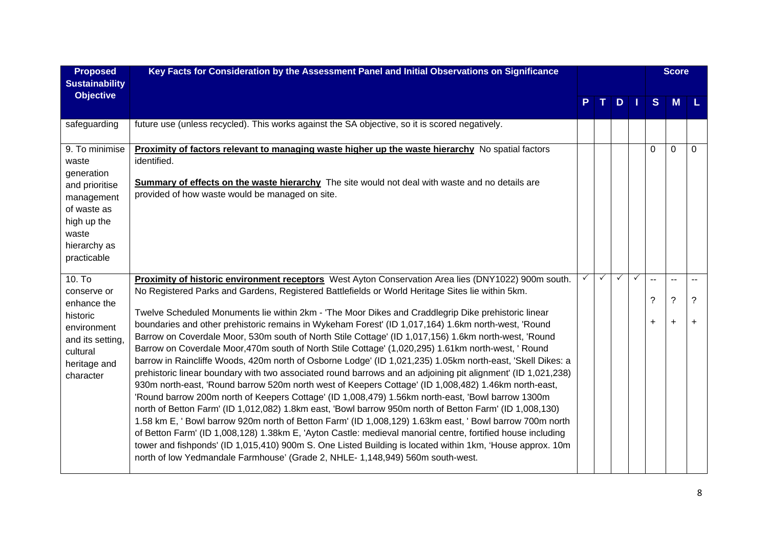| <b>Proposed</b><br><b>Sustainability</b>                                                           | Key Facts for Consideration by the Assessment Panel and Initial Observations on Significance                                                                                                                                                                                                                                                                                                                                                                                                                                                                                                                                                                                                                                                                                                                                                                                                                                                                                                                                                                                                                                                                                                                                                                                                                                                                                                             |   |   |              |              |                          | <b>Score</b>   |           |
|----------------------------------------------------------------------------------------------------|----------------------------------------------------------------------------------------------------------------------------------------------------------------------------------------------------------------------------------------------------------------------------------------------------------------------------------------------------------------------------------------------------------------------------------------------------------------------------------------------------------------------------------------------------------------------------------------------------------------------------------------------------------------------------------------------------------------------------------------------------------------------------------------------------------------------------------------------------------------------------------------------------------------------------------------------------------------------------------------------------------------------------------------------------------------------------------------------------------------------------------------------------------------------------------------------------------------------------------------------------------------------------------------------------------------------------------------------------------------------------------------------------------|---|---|--------------|--------------|--------------------------|----------------|-----------|
| <b>Objective</b>                                                                                   |                                                                                                                                                                                                                                                                                                                                                                                                                                                                                                                                                                                                                                                                                                                                                                                                                                                                                                                                                                                                                                                                                                                                                                                                                                                                                                                                                                                                          |   |   | D            | l I.         | S                        | M              |           |
| safeguarding                                                                                       | future use (unless recycled). This works against the SA objective, so it is scored negatively.                                                                                                                                                                                                                                                                                                                                                                                                                                                                                                                                                                                                                                                                                                                                                                                                                                                                                                                                                                                                                                                                                                                                                                                                                                                                                                           |   |   |              |              |                          |                |           |
| 9. To minimise<br>waste<br>generation                                                              | Proximity of factors relevant to managing waste higher up the waste hierarchy No spatial factors<br>identified.                                                                                                                                                                                                                                                                                                                                                                                                                                                                                                                                                                                                                                                                                                                                                                                                                                                                                                                                                                                                                                                                                                                                                                                                                                                                                          |   |   |              |              | 0                        | $\mathbf 0$    | 0         |
| and prioritise<br>management<br>of waste as<br>high up the<br>waste<br>hierarchy as<br>practicable | <b>Summary of effects on the waste hierarchy</b> The site would not deal with waste and no details are<br>provided of how waste would be managed on site.                                                                                                                                                                                                                                                                                                                                                                                                                                                                                                                                                                                                                                                                                                                                                                                                                                                                                                                                                                                                                                                                                                                                                                                                                                                |   |   |              |              |                          |                |           |
| 10. To<br>conserve or                                                                              | Proximity of historic environment receptors West Ayton Conservation Area lies (DNY1022) 900m south.<br>No Registered Parks and Gardens, Registered Battlefields or World Heritage Sites lie within 5km.                                                                                                                                                                                                                                                                                                                                                                                                                                                                                                                                                                                                                                                                                                                                                                                                                                                                                                                                                                                                                                                                                                                                                                                                  | ✓ | ✓ | $\checkmark$ | $\checkmark$ | $\overline{\phantom{a}}$ | $\overline{a}$ |           |
| enhance the                                                                                        |                                                                                                                                                                                                                                                                                                                                                                                                                                                                                                                                                                                                                                                                                                                                                                                                                                                                                                                                                                                                                                                                                                                                                                                                                                                                                                                                                                                                          |   |   |              |              | ?                        | $\tilde{?}$    | ?         |
| historic<br>environment<br>and its setting,<br>cultural<br>heritage and<br>character               | Twelve Scheduled Monuments lie within 2km - 'The Moor Dikes and Craddlegrip Dike prehistoric linear<br>boundaries and other prehistoric remains in Wykeham Forest' (ID 1,017,164) 1.6km north-west, 'Round<br>Barrow on Coverdale Moor, 530m south of North Stile Cottage' (ID 1,017,156) 1.6km north-west, 'Round<br>Barrow on Coverdale Moor, 470m south of North Stile Cottage' (1,020,295) 1.61km north-west, ' Round<br>barrow in Raincliffe Woods, 420m north of Osborne Lodge' (ID 1,021,235) 1.05km north-east, 'Skell Dikes: a<br>prehistoric linear boundary with two associated round barrows and an adjoining pit alignment' (ID 1,021,238)<br>930m north-east, 'Round barrow 520m north west of Keepers Cottage' (ID 1,008,482) 1.46km north-east,<br>'Round barrow 200m north of Keepers Cottage' (ID 1,008,479) 1.56km north-east, 'Bowl barrow 1300m<br>north of Betton Farm' (ID 1,012,082) 1.8km east, 'Bowl barrow 950m north of Betton Farm' (ID 1,008,130)<br>1.58 km E, ' Bowl barrow 920m north of Betton Farm' (ID 1,008,129) 1.63km east, ' Bowl barrow 700m north<br>of Betton Farm' (ID 1,008,128) 1.38km E, 'Ayton Castle: medieval manorial centre, fortified house including<br>tower and fishponds' (ID 1,015,410) 900m S. One Listed Building is located within 1km, 'House approx. 10m<br>north of low Yedmandale Farmhouse' (Grade 2, NHLE-1,148,949) 560m south-west. |   |   |              |              | $\ddot{}$                | $+$            | $\ddot{}$ |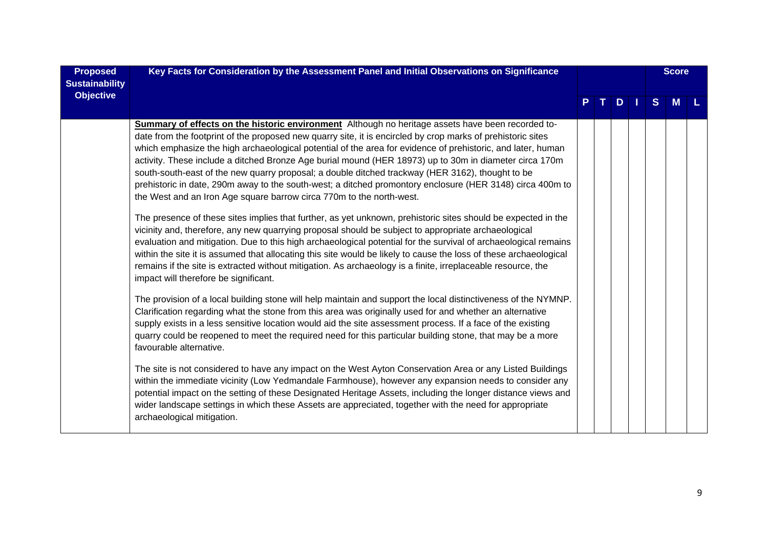| <b>Proposed</b><br><b>Sustainability</b> | Key Facts for Consideration by the Assessment Panel and Initial Observations on Significance                                                                                                                                                                                                                                                                                                                                                                                                                                                                                                                                                                                                                                                                                                                                                                                                                                                                                                                                                                                                                                                                                                                                                                                                                                                                                                                                                                                                                                                                                                                                                                                                                                                                                                                          |  |    |     |  |   |          | <b>Score</b> |
|------------------------------------------|-----------------------------------------------------------------------------------------------------------------------------------------------------------------------------------------------------------------------------------------------------------------------------------------------------------------------------------------------------------------------------------------------------------------------------------------------------------------------------------------------------------------------------------------------------------------------------------------------------------------------------------------------------------------------------------------------------------------------------------------------------------------------------------------------------------------------------------------------------------------------------------------------------------------------------------------------------------------------------------------------------------------------------------------------------------------------------------------------------------------------------------------------------------------------------------------------------------------------------------------------------------------------------------------------------------------------------------------------------------------------------------------------------------------------------------------------------------------------------------------------------------------------------------------------------------------------------------------------------------------------------------------------------------------------------------------------------------------------------------------------------------------------------------------------------------------------|--|----|-----|--|---|----------|--------------|
| <b>Objective</b>                         |                                                                                                                                                                                                                                                                                                                                                                                                                                                                                                                                                                                                                                                                                                                                                                                                                                                                                                                                                                                                                                                                                                                                                                                                                                                                                                                                                                                                                                                                                                                                                                                                                                                                                                                                                                                                                       |  | т. | $D$ |  | S | <b>M</b> |              |
|                                          | Summary of effects on the historic environment Although no heritage assets have been recorded to-<br>date from the footprint of the proposed new quarry site, it is encircled by crop marks of prehistoric sites<br>which emphasize the high archaeological potential of the area for evidence of prehistoric, and later, human<br>activity. These include a ditched Bronze Age burial mound (HER 18973) up to 30m in diameter circa 170m<br>south-south-east of the new quarry proposal; a double ditched trackway (HER 3162), thought to be<br>prehistoric in date, 290m away to the south-west; a ditched promontory enclosure (HER 3148) circa 400m to<br>the West and an Iron Age square barrow circa 770m to the north-west.<br>The presence of these sites implies that further, as yet unknown, prehistoric sites should be expected in the<br>vicinity and, therefore, any new quarrying proposal should be subject to appropriate archaeological<br>evaluation and mitigation. Due to this high archaeological potential for the survival of archaeological remains<br>within the site it is assumed that allocating this site would be likely to cause the loss of these archaeological<br>remains if the site is extracted without mitigation. As archaeology is a finite, irreplaceable resource, the<br>impact will therefore be significant.<br>The provision of a local building stone will help maintain and support the local distinctiveness of the NYMNP.<br>Clarification regarding what the stone from this area was originally used for and whether an alternative<br>supply exists in a less sensitive location would aid the site assessment process. If a face of the existing<br>quarry could be reopened to meet the required need for this particular building stone, that may be a more |  |    |     |  |   |          |              |
|                                          | favourable alternative.<br>The site is not considered to have any impact on the West Ayton Conservation Area or any Listed Buildings<br>within the immediate vicinity (Low Yedmandale Farmhouse), however any expansion needs to consider any<br>potential impact on the setting of these Designated Heritage Assets, including the longer distance views and<br>wider landscape settings in which these Assets are appreciated, together with the need for appropriate<br>archaeological mitigation.                                                                                                                                                                                                                                                                                                                                                                                                                                                                                                                                                                                                                                                                                                                                                                                                                                                                                                                                                                                                                                                                                                                                                                                                                                                                                                                 |  |    |     |  |   |          |              |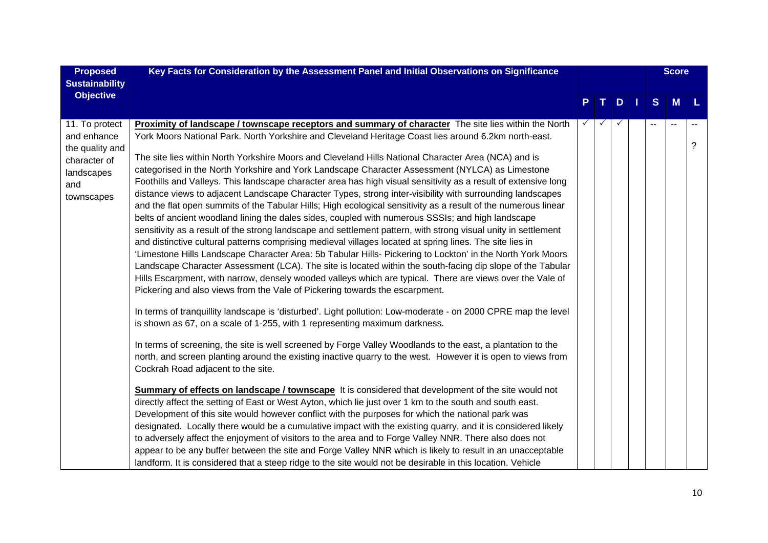| <b>Proposed</b>               | Key Facts for Consideration by the Assessment Panel and Initial Observations on Significance                                                                                                                                |    |    |              | <b>Score</b> |   |   |   |
|-------------------------------|-----------------------------------------------------------------------------------------------------------------------------------------------------------------------------------------------------------------------------|----|----|--------------|--------------|---|---|---|
| <b>Sustainability</b>         |                                                                                                                                                                                                                             |    |    |              |              |   |   |   |
| <b>Objective</b>              |                                                                                                                                                                                                                             | P. | Т. | D            | - 1          | S | M | L |
|                               |                                                                                                                                                                                                                             |    |    | $\checkmark$ |              |   |   |   |
| 11. To protect<br>and enhance | <b>Proximity of landscape / townscape receptors and summary of character</b> The site lies within the North<br>York Moors National Park. North Yorkshire and Cleveland Heritage Coast lies around 6.2km north-east.         |    |    |              |              |   |   |   |
| the quality and               |                                                                                                                                                                                                                             |    |    |              |              |   |   | ? |
| character of                  | The site lies within North Yorkshire Moors and Cleveland Hills National Character Area (NCA) and is                                                                                                                         |    |    |              |              |   |   |   |
| landscapes                    | categorised in the North Yorkshire and York Landscape Character Assessment (NYLCA) as Limestone                                                                                                                             |    |    |              |              |   |   |   |
| and                           | Foothills and Valleys. This landscape character area has high visual sensitivity as a result of extensive long                                                                                                              |    |    |              |              |   |   |   |
| townscapes                    | distance views to adjacent Landscape Character Types, strong inter-visibility with surrounding landscapes<br>and the flat open summits of the Tabular Hills; High ecological sensitivity as a result of the numerous linear |    |    |              |              |   |   |   |
|                               | belts of ancient woodland lining the dales sides, coupled with numerous SSSIs; and high landscape                                                                                                                           |    |    |              |              |   |   |   |
|                               | sensitivity as a result of the strong landscape and settlement pattern, with strong visual unity in settlement                                                                                                              |    |    |              |              |   |   |   |
|                               | and distinctive cultural patterns comprising medieval villages located at spring lines. The site lies in                                                                                                                    |    |    |              |              |   |   |   |
|                               | 'Limestone Hills Landscape Character Area: 5b Tabular Hills- Pickering to Lockton' in the North York Moors                                                                                                                  |    |    |              |              |   |   |   |
|                               | Landscape Character Assessment (LCA). The site is located within the south-facing dip slope of the Tabular                                                                                                                  |    |    |              |              |   |   |   |
|                               | Hills Escarpment, with narrow, densely wooded valleys which are typical. There are views over the Vale of<br>Pickering and also views from the Vale of Pickering towards the escarpment.                                    |    |    |              |              |   |   |   |
|                               |                                                                                                                                                                                                                             |    |    |              |              |   |   |   |
|                               | In terms of tranquillity landscape is 'disturbed'. Light pollution: Low-moderate - on 2000 CPRE map the level                                                                                                               |    |    |              |              |   |   |   |
|                               | is shown as 67, on a scale of 1-255, with 1 representing maximum darkness.                                                                                                                                                  |    |    |              |              |   |   |   |
|                               | In terms of screening, the site is well screened by Forge Valley Woodlands to the east, a plantation to the                                                                                                                 |    |    |              |              |   |   |   |
|                               | north, and screen planting around the existing inactive quarry to the west. However it is open to views from                                                                                                                |    |    |              |              |   |   |   |
|                               | Cockrah Road adjacent to the site.                                                                                                                                                                                          |    |    |              |              |   |   |   |
|                               | <b>Summary of effects on landscape / townscape</b> It is considered that development of the site would not                                                                                                                  |    |    |              |              |   |   |   |
|                               | directly affect the setting of East or West Ayton, which lie just over 1 km to the south and south east.                                                                                                                    |    |    |              |              |   |   |   |
|                               | Development of this site would however conflict with the purposes for which the national park was                                                                                                                           |    |    |              |              |   |   |   |
|                               | designated. Locally there would be a cumulative impact with the existing quarry, and it is considered likely                                                                                                                |    |    |              |              |   |   |   |
|                               | to adversely affect the enjoyment of visitors to the area and to Forge Valley NNR. There also does not                                                                                                                      |    |    |              |              |   |   |   |
|                               | appear to be any buffer between the site and Forge Valley NNR which is likely to result in an unacceptable                                                                                                                  |    |    |              |              |   |   |   |
|                               | landform. It is considered that a steep ridge to the site would not be desirable in this location. Vehicle                                                                                                                  |    |    |              |              |   |   |   |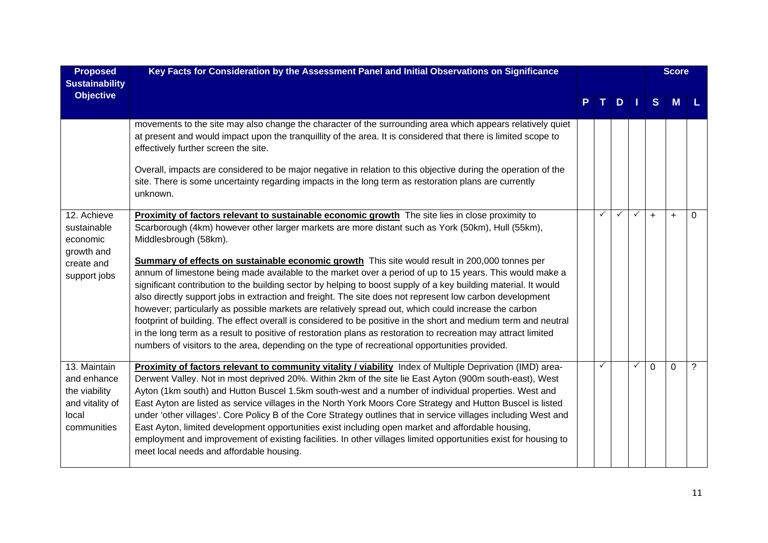| <b>Proposed</b><br><b>Sustainability</b>                                                | Key Facts for Consideration by the Assessment Panel and Initial Observations on Significance                                                                                                                                                                                                                                                                                                                                                                                                                                                                                                                                                                                                                                                                                                                                                                                                                                                                                                                                                                                                                                      |   |               |              |              | <b>Score</b> |          |
|-----------------------------------------------------------------------------------------|-----------------------------------------------------------------------------------------------------------------------------------------------------------------------------------------------------------------------------------------------------------------------------------------------------------------------------------------------------------------------------------------------------------------------------------------------------------------------------------------------------------------------------------------------------------------------------------------------------------------------------------------------------------------------------------------------------------------------------------------------------------------------------------------------------------------------------------------------------------------------------------------------------------------------------------------------------------------------------------------------------------------------------------------------------------------------------------------------------------------------------------|---|---------------|--------------|--------------|--------------|----------|
| <b>Objective</b>                                                                        |                                                                                                                                                                                                                                                                                                                                                                                                                                                                                                                                                                                                                                                                                                                                                                                                                                                                                                                                                                                                                                                                                                                                   |   | $D \mid \mid$ |              | S            | <b>M</b>     |          |
|                                                                                         | movements to the site may also change the character of the surrounding area which appears relatively quiet<br>at present and would impact upon the tranquillity of the area. It is considered that there is limited scope to<br>effectively further screen the site.<br>Overall, impacts are considered to be major negative in relation to this objective during the operation of the<br>site. There is some uncertainty regarding impacts in the long term as restoration plans are currently<br>unknown.                                                                                                                                                                                                                                                                                                                                                                                                                                                                                                                                                                                                                       |   |               |              |              |              |          |
| 12. Achieve<br>sustainable<br>economic<br>growth and<br>create and<br>support jobs      | Proximity of factors relevant to sustainable economic growth The site lies in close proximity to<br>Scarborough (4km) however other larger markets are more distant such as York (50km), Hull (55km),<br>Middlesbrough (58km).<br><b>Summary of effects on sustainable economic growth</b> This site would result in 200,000 tonnes per<br>annum of limestone being made available to the market over a period of up to 15 years. This would make a<br>significant contribution to the building sector by helping to boost supply of a key building material. It would<br>also directly support jobs in extraction and freight. The site does not represent low carbon development<br>however; particularly as possible markets are relatively spread out, which could increase the carbon<br>footprint of building. The effect overall is considered to be positive in the short and medium term and neutral<br>in the long term as a result to positive of restoration plans as restoration to recreation may attract limited<br>numbers of visitors to the area, depending on the type of recreational opportunities provided. | ✓ | $\checkmark$  | $\checkmark$ | $+$          | $\ddot{}$    | $\Omega$ |
| 13. Maintain<br>and enhance<br>the viability<br>and vitality of<br>local<br>communities | Proximity of factors relevant to community vitality / viability Index of Multiple Deprivation (IMD) area-<br>Derwent Valley. Not in most deprived 20%. Within 2km of the site lie East Ayton (900m south-east), West<br>Ayton (1km south) and Hutton Buscel 1.5km south-west and a number of individual properties. West and<br>East Ayton are listed as service villages in the North York Moors Core Strategy and Hutton Buscel is listed<br>under 'other villages'. Core Policy B of the Core Strategy outlines that in service villages including West and<br>East Ayton, limited development opportunities exist including open market and affordable housing,<br>employment and improvement of existing facilities. In other villages limited opportunities exist for housing to<br>meet local needs and affordable housing.                                                                                                                                                                                                                                                                                                | ✓ |               | $\checkmark$ | $\mathbf{0}$ | $\Omega$     | ?        |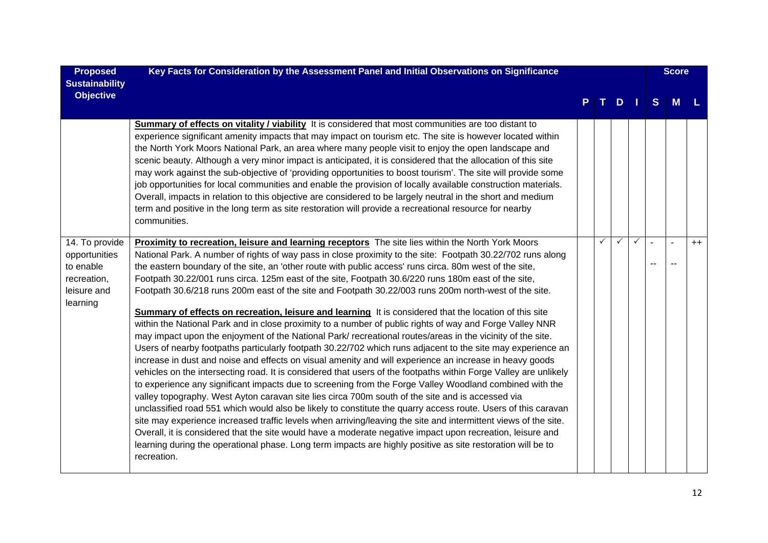| <b>Proposed</b><br><b>Sustainability</b>                                               | Key Facts for Consideration by the Assessment Panel and Initial Observations on Significance                                                                                                                                                                                                                                                                                                                                                                                                                                                                                                                                                                                                                                                                                                                                                                                                                                                                                                                                                                                                                                                                                                                                                                                                                                                                                                                                                                                                                                                                                                                                                                                                                                                                                                                                                                                                                                 |   |               |              |   | <b>Score</b> |      |
|----------------------------------------------------------------------------------------|------------------------------------------------------------------------------------------------------------------------------------------------------------------------------------------------------------------------------------------------------------------------------------------------------------------------------------------------------------------------------------------------------------------------------------------------------------------------------------------------------------------------------------------------------------------------------------------------------------------------------------------------------------------------------------------------------------------------------------------------------------------------------------------------------------------------------------------------------------------------------------------------------------------------------------------------------------------------------------------------------------------------------------------------------------------------------------------------------------------------------------------------------------------------------------------------------------------------------------------------------------------------------------------------------------------------------------------------------------------------------------------------------------------------------------------------------------------------------------------------------------------------------------------------------------------------------------------------------------------------------------------------------------------------------------------------------------------------------------------------------------------------------------------------------------------------------------------------------------------------------------------------------------------------------|---|---------------|--------------|---|--------------|------|
| <b>Objective</b>                                                                       |                                                                                                                                                                                                                                                                                                                                                                                                                                                                                                                                                                                                                                                                                                                                                                                                                                                                                                                                                                                                                                                                                                                                                                                                                                                                                                                                                                                                                                                                                                                                                                                                                                                                                                                                                                                                                                                                                                                              |   | $D \mid \mid$ |              | S | M            |      |
|                                                                                        | <b>Summary of effects on vitality / viability</b> It is considered that most communities are too distant to<br>experience significant amenity impacts that may impact on tourism etc. The site is however located within<br>the North York Moors National Park, an area where many people visit to enjoy the open landscape and<br>scenic beauty. Although a very minor impact is anticipated, it is considered that the allocation of this site<br>may work against the sub-objective of 'providing opportunities to boost tourism'. The site will provide some<br>job opportunities for local communities and enable the provision of locally available construction materials.<br>Overall, impacts in relation to this objective are considered to be largely neutral in the short and medium<br>term and positive in the long term as site restoration will provide a recreational resource for nearby<br>communities.                                                                                                                                                                                                                                                                                                                                                                                                                                                                                                                                                                                                                                                                                                                                                                                                                                                                                                                                                                                                   |   |               |              |   |              |      |
| 14. To provide<br>opportunities<br>to enable<br>recreation,<br>leisure and<br>learning | Proximity to recreation, leisure and learning receptors The site lies within the North York Moors<br>National Park. A number of rights of way pass in close proximity to the site: Footpath 30.22/702 runs along<br>the eastern boundary of the site, an 'other route with public access' runs circa. 80m west of the site,<br>Footpath 30.22/001 runs circa. 125m east of the site, Footpath 30.6/220 runs 180m east of the site,<br>Footpath 30.6/218 runs 200m east of the site and Footpath 30.22/003 runs 200m north-west of the site.<br>Summary of effects on recreation, leisure and learning It is considered that the location of this site<br>within the National Park and in close proximity to a number of public rights of way and Forge Valley NNR<br>may impact upon the enjoyment of the National Park/ recreational routes/areas in the vicinity of the site.<br>Users of nearby footpaths particularly footpath 30.22/702 which runs adjacent to the site may experience an<br>increase in dust and noise and effects on visual amenity and will experience an increase in heavy goods<br>vehicles on the intersecting road. It is considered that users of the footpaths within Forge Valley are unlikely<br>to experience any significant impacts due to screening from the Forge Valley Woodland combined with the<br>valley topography. West Ayton caravan site lies circa 700m south of the site and is accessed via<br>unclassified road 551 which would also be likely to constitute the quarry access route. Users of this caravan<br>site may experience increased traffic levels when arriving/leaving the site and intermittent views of the site.<br>Overall, it is considered that the site would have a moderate negative impact upon recreation, leisure and<br>learning during the operational phase. Long term impacts are highly positive as site restoration will be to<br>recreation. | ✓ | $\checkmark$  | $\checkmark$ |   |              | $++$ |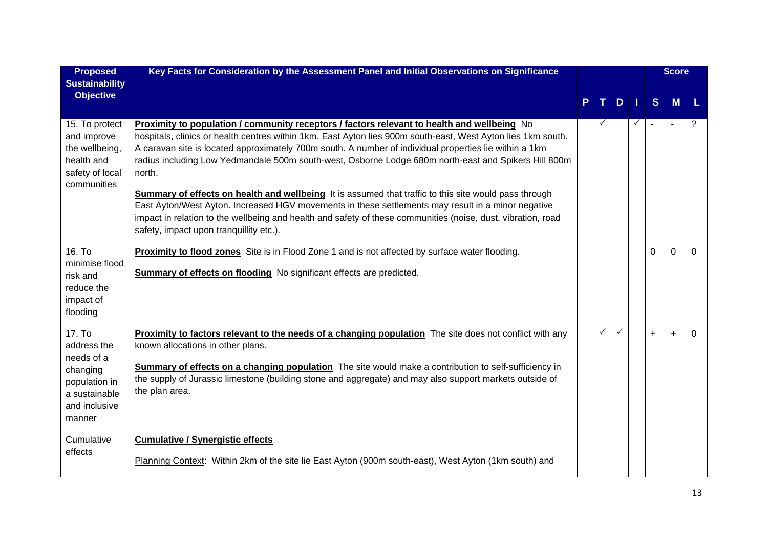| <b>Proposed</b><br><b>Sustainability</b>                                                                      | Key Facts for Consideration by the Assessment Panel and Initial Observations on Significance                                                                                                                                                                                                                                                                                                                                                                                                                                                                                                                                                                                                                                                                                                                             |              |              |              |           | <b>Score</b>   |   |
|---------------------------------------------------------------------------------------------------------------|--------------------------------------------------------------------------------------------------------------------------------------------------------------------------------------------------------------------------------------------------------------------------------------------------------------------------------------------------------------------------------------------------------------------------------------------------------------------------------------------------------------------------------------------------------------------------------------------------------------------------------------------------------------------------------------------------------------------------------------------------------------------------------------------------------------------------|--------------|--------------|--------------|-----------|----------------|---|
| <b>Objective</b>                                                                                              |                                                                                                                                                                                                                                                                                                                                                                                                                                                                                                                                                                                                                                                                                                                                                                                                                          |              | D            |              | S         | M              |   |
| $\overline{15}$ . To protect<br>and improve<br>the wellbeing,<br>health and<br>safety of local<br>communities | <b>Proximity to population / community receptors / factors relevant to health and wellbeing</b> No<br>hospitals, clinics or health centres within 1km. East Ayton lies 900m south-east, West Ayton lies 1km south.<br>A caravan site is located approximately 700m south. A number of individual properties lie within a 1km<br>radius including Low Yedmandale 500m south-west, Osborne Lodge 680m north-east and Spikers Hill 800m<br>north.<br>Summary of effects on health and wellbeing It is assumed that traffic to this site would pass through<br>East Ayton/West Ayton. Increased HGV movements in these settlements may result in a minor negative<br>impact in relation to the wellbeing and health and safety of these communities (noise, dust, vibration, road<br>safety, impact upon tranquillity etc.). | $\checkmark$ |              | $\checkmark$ |           | $\blacksquare$ | ? |
| 16. To<br>minimise flood<br>risk and<br>reduce the<br>impact of<br>flooding                                   | Proximity to flood zones Site is in Flood Zone 1 and is not affected by surface water flooding.<br>Summary of effects on flooding No significant effects are predicted.                                                                                                                                                                                                                                                                                                                                                                                                                                                                                                                                                                                                                                                  |              |              |              | 0         | $\Omega$       | 0 |
| 17. To<br>address the<br>needs of a<br>changing<br>population in<br>a sustainable<br>and inclusive<br>manner  | <b>Proximity to factors relevant to the needs of a changing population</b> The site does not conflict with any<br>known allocations in other plans.<br>Summary of effects on a changing population The site would make a contribution to self-sufficiency in<br>the supply of Jurassic limestone (building stone and aggregate) and may also support markets outside of<br>the plan area.                                                                                                                                                                                                                                                                                                                                                                                                                                | $\checkmark$ | $\checkmark$ |              | $\ddot{}$ | $\ddot{}$      | 0 |
| Cumulative<br>effects                                                                                         | <b>Cumulative / Synergistic effects</b><br>Planning Context: Within 2km of the site lie East Ayton (900m south-east), West Ayton (1km south) and                                                                                                                                                                                                                                                                                                                                                                                                                                                                                                                                                                                                                                                                         |              |              |              |           |                |   |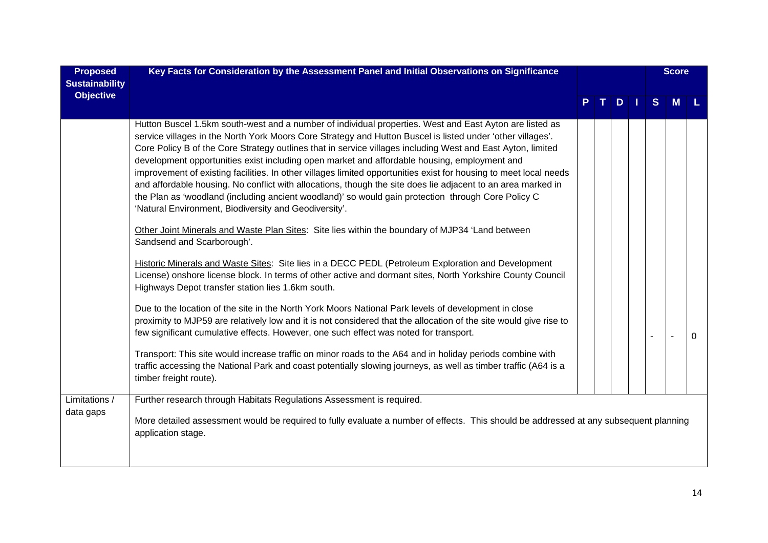| <b>Proposed</b><br><b>Sustainability</b> | Key Facts for Consideration by the Assessment Panel and Initial Observations on Significance                                                                                                                                                                                                                                                                                                                                                                                                                                                                                                                                                                                                                                                                                                                                                                                                                                                                                                                                                                                                                                                                                                                                                                                                                                                                                                                                                                                                                                                                                                                                                                                                                                                                                                                                       |  |     |   | <b>Score</b> |   |
|------------------------------------------|------------------------------------------------------------------------------------------------------------------------------------------------------------------------------------------------------------------------------------------------------------------------------------------------------------------------------------------------------------------------------------------------------------------------------------------------------------------------------------------------------------------------------------------------------------------------------------------------------------------------------------------------------------------------------------------------------------------------------------------------------------------------------------------------------------------------------------------------------------------------------------------------------------------------------------------------------------------------------------------------------------------------------------------------------------------------------------------------------------------------------------------------------------------------------------------------------------------------------------------------------------------------------------------------------------------------------------------------------------------------------------------------------------------------------------------------------------------------------------------------------------------------------------------------------------------------------------------------------------------------------------------------------------------------------------------------------------------------------------------------------------------------------------------------------------------------------------|--|-----|---|--------------|---|
| <b>Objective</b>                         |                                                                                                                                                                                                                                                                                                                                                                                                                                                                                                                                                                                                                                                                                                                                                                                                                                                                                                                                                                                                                                                                                                                                                                                                                                                                                                                                                                                                                                                                                                                                                                                                                                                                                                                                                                                                                                    |  | $D$ | S | M            |   |
|                                          | Hutton Buscel 1.5km south-west and a number of individual properties. West and East Ayton are listed as<br>service villages in the North York Moors Core Strategy and Hutton Buscel is listed under 'other villages'.<br>Core Policy B of the Core Strategy outlines that in service villages including West and East Ayton, limited<br>development opportunities exist including open market and affordable housing, employment and<br>improvement of existing facilities. In other villages limited opportunities exist for housing to meet local needs<br>and affordable housing. No conflict with allocations, though the site does lie adjacent to an area marked in<br>the Plan as 'woodland (including ancient woodland)' so would gain protection through Core Policy C<br>'Natural Environment, Biodiversity and Geodiversity'.<br>Other Joint Minerals and Waste Plan Sites: Site lies within the boundary of MJP34 'Land between<br>Sandsend and Scarborough'.<br>Historic Minerals and Waste Sites: Site lies in a DECC PEDL (Petroleum Exploration and Development<br>License) onshore license block. In terms of other active and dormant sites, North Yorkshire County Council<br>Highways Depot transfer station lies 1.6km south.<br>Due to the location of the site in the North York Moors National Park levels of development in close<br>proximity to MJP59 are relatively low and it is not considered that the allocation of the site would give rise to<br>few significant cumulative effects. However, one such effect was noted for transport.<br>Transport: This site would increase traffic on minor roads to the A64 and in holiday periods combine with<br>traffic accessing the National Park and coast potentially slowing journeys, as well as timber traffic (A64 is a<br>timber freight route). |  |     |   |              | 0 |
| Limitations /                            | Further research through Habitats Regulations Assessment is required.                                                                                                                                                                                                                                                                                                                                                                                                                                                                                                                                                                                                                                                                                                                                                                                                                                                                                                                                                                                                                                                                                                                                                                                                                                                                                                                                                                                                                                                                                                                                                                                                                                                                                                                                                              |  |     |   |              |   |
| data gaps                                | More detailed assessment would be required to fully evaluate a number of effects. This should be addressed at any subsequent planning<br>application stage.                                                                                                                                                                                                                                                                                                                                                                                                                                                                                                                                                                                                                                                                                                                                                                                                                                                                                                                                                                                                                                                                                                                                                                                                                                                                                                                                                                                                                                                                                                                                                                                                                                                                        |  |     |   |              |   |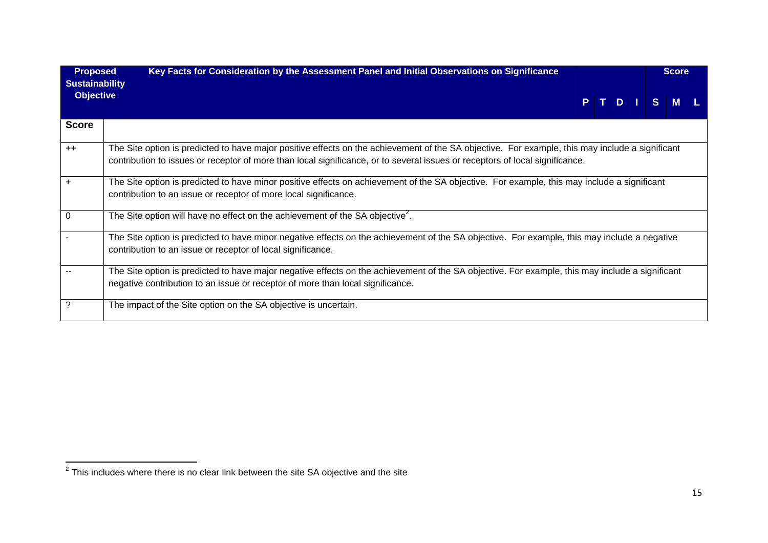| <b>Proposed</b><br><b>Sustainability</b> | Key Facts for Consideration by the Assessment Panel and Initial Observations on Significance                                                                                                                                                                                    |    |  |   | <b>Score</b> |
|------------------------------------------|---------------------------------------------------------------------------------------------------------------------------------------------------------------------------------------------------------------------------------------------------------------------------------|----|--|---|--------------|
| <b>Objective</b>                         |                                                                                                                                                                                                                                                                                 | P. |  | S | <b>M</b>     |
| <b>Score</b>                             |                                                                                                                                                                                                                                                                                 |    |  |   |              |
| $++$                                     | The Site option is predicted to have major positive effects on the achievement of the SA objective. For example, this may include a significant<br>contribution to issues or receptor of more than local significance, or to several issues or receptors of local significance. |    |  |   |              |
| $\ddot{}$                                | The Site option is predicted to have minor positive effects on achievement of the SA objective. For example, this may include a significant<br>contribution to an issue or receptor of more local significance.                                                                 |    |  |   |              |
| 0                                        | The Site option will have no effect on the achievement of the SA objective <sup>2</sup> .                                                                                                                                                                                       |    |  |   |              |
|                                          | The Site option is predicted to have minor negative effects on the achievement of the SA objective. For example, this may include a negative<br>contribution to an issue or receptor of local significance.                                                                     |    |  |   |              |
|                                          | The Site option is predicted to have major negative effects on the achievement of the SA objective. For example, this may include a significant<br>negative contribution to an issue or receptor of more than local significance.                                               |    |  |   |              |
| ?                                        | The impact of the Site option on the SA objective is uncertain.                                                                                                                                                                                                                 |    |  |   |              |

 $\frac{1}{2}$  This includes where there is no clear link between the site SA objective and the site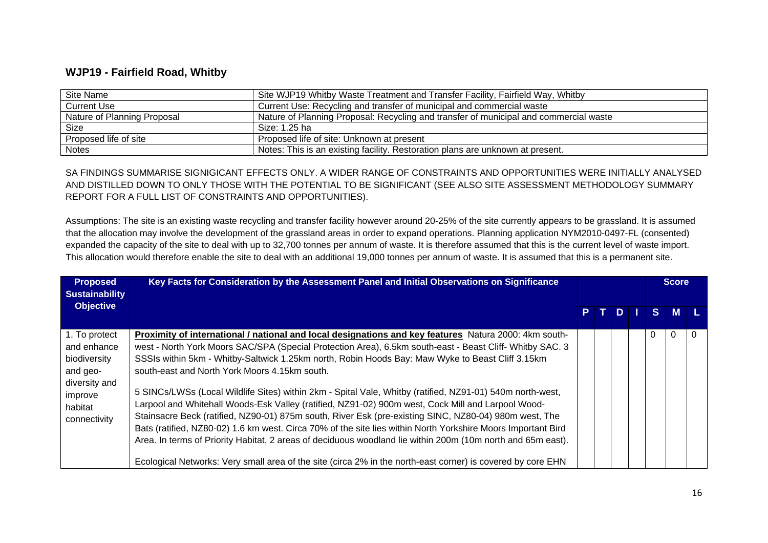#### **WJP19 - Fairfield Road, Whitby**

| Site Name                   | Site WJP19 Whitby Waste Treatment and Transfer Facility, Fairfield Way, Whitby        |
|-----------------------------|---------------------------------------------------------------------------------------|
| Current Use                 | Current Use: Recycling and transfer of municipal and commercial waste                 |
| Nature of Planning Proposal | Nature of Planning Proposal: Recycling and transfer of municipal and commercial waste |
| Size                        | Size: 1.25 ha                                                                         |
| Proposed life of site       | Proposed life of site: Unknown at present                                             |
| <b>Notes</b>                | Notes: This is an existing facility. Restoration plans are unknown at present.        |

SA FINDINGS SUMMARISE SIGNIGICANT EFFECTS ONLY. A WIDER RANGE OF CONSTRAINTS AND OPPORTUNITIES WERE INITIALLY ANALYSED AND DISTILLED DOWN TO ONLY THOSE WITH THE POTENTIAL TO BE SIGNIFICANT (SEE ALSO SITE ASSESSMENT METHODOLOGY SUMMARY REPORT FOR A FULL LIST OF CONSTRAINTS AND OPPORTUNITIES).

Assumptions: The site is an existing waste recycling and transfer facility however around 20-25% of the site currently appears to be grassland. It is assumed that the allocation may involve the development of the grassland areas in order to expand operations. Planning application NYM2010-0497-FL (consented) expanded the capacity of the site to deal with up to 32,700 tonnes per annum of waste. It is therefore assumed that this is the current level of waste import. This allocation would therefore enable the site to deal with an additional 19,000 tonnes per annum of waste. It is assumed that this is a permanent site.

| <b>Proposed</b><br><b>Sustainability</b>                                                                        | Key Facts for Consideration by the Assessment Panel and Initial Observations on Significance                                                                                                                                                                                                                                                                                                                                                                                                                                                                                                                                                                                                                                                                                                                                                                                                                                                                                                                                                    |  |      |               | <b>Score</b> |          |
|-----------------------------------------------------------------------------------------------------------------|-------------------------------------------------------------------------------------------------------------------------------------------------------------------------------------------------------------------------------------------------------------------------------------------------------------------------------------------------------------------------------------------------------------------------------------------------------------------------------------------------------------------------------------------------------------------------------------------------------------------------------------------------------------------------------------------------------------------------------------------------------------------------------------------------------------------------------------------------------------------------------------------------------------------------------------------------------------------------------------------------------------------------------------------------|--|------|---------------|--------------|----------|
| <b>Objective</b>                                                                                                |                                                                                                                                                                                                                                                                                                                                                                                                                                                                                                                                                                                                                                                                                                                                                                                                                                                                                                                                                                                                                                                 |  | PTDI | $S^{\dagger}$ | <b>M</b>     |          |
| 1. To protect<br>and enhance<br>biodiversity<br>and geo-<br>diversity and<br>improve<br>habitat<br>connectivity | Proximity of international / national and local designations and key features Natura 2000: 4km south-<br>west - North York Moors SAC/SPA (Special Protection Area), 6.5km south-east - Beast Cliff- Whitby SAC. 3<br>SSSIs within 5km - Whitby-Saltwick 1.25km north, Robin Hoods Bay: Maw Wyke to Beast Cliff 3.15km<br>south-east and North York Moors 4.15km south.<br>5 SINCs/LWSs (Local Wildlife Sites) within 2km - Spital Vale, Whitby (ratified, NZ91-01) 540m north-west,<br>Larpool and Whitehall Woods-Esk Valley (ratified, NZ91-02) 900m west, Cock Mill and Larpool Wood-<br>Stainsacre Beck (ratified, NZ90-01) 875m south, River Esk (pre-existing SINC, NZ80-04) 980m west, The<br>Bats (ratified, NZ80-02) 1.6 km west. Circa 70% of the site lies within North Yorkshire Moors Important Bird<br>Area. In terms of Priority Habitat, 2 areas of deciduous woodland lie within 200m (10m north and 65m east).<br>Ecological Networks: Very small area of the site (circa 2% in the north-east corner) is covered by core EHN |  |      | $\Omega$      |              | $\Omega$ |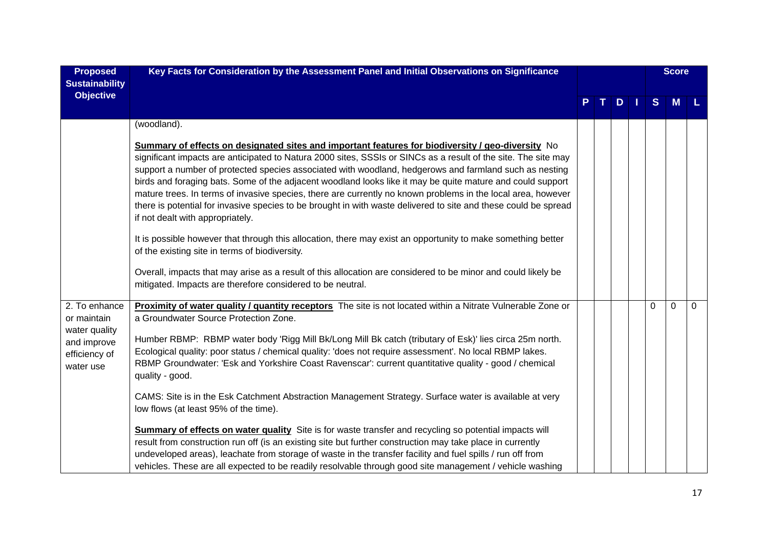| <b>Proposed</b><br><b>Sustainability</b>                                                   | Key Facts for Consideration by the Assessment Panel and Initial Observations on Significance                                                                                                                                                                                                                                                                                                                                                                                                                                                                                                                                                                                                                                                                                                                                                                                                                                                                                                                                                                        |  |     |          | <b>Score</b> |             |
|--------------------------------------------------------------------------------------------|---------------------------------------------------------------------------------------------------------------------------------------------------------------------------------------------------------------------------------------------------------------------------------------------------------------------------------------------------------------------------------------------------------------------------------------------------------------------------------------------------------------------------------------------------------------------------------------------------------------------------------------------------------------------------------------------------------------------------------------------------------------------------------------------------------------------------------------------------------------------------------------------------------------------------------------------------------------------------------------------------------------------------------------------------------------------|--|-----|----------|--------------|-------------|
| <b>Objective</b>                                                                           |                                                                                                                                                                                                                                                                                                                                                                                                                                                                                                                                                                                                                                                                                                                                                                                                                                                                                                                                                                                                                                                                     |  | $D$ | S        | <b>M</b>     |             |
|                                                                                            | (woodland).                                                                                                                                                                                                                                                                                                                                                                                                                                                                                                                                                                                                                                                                                                                                                                                                                                                                                                                                                                                                                                                         |  |     |          |              |             |
|                                                                                            | Summary of effects on designated sites and important features for biodiversity / geo-diversity No<br>significant impacts are anticipated to Natura 2000 sites, SSSIs or SINCs as a result of the site. The site may<br>support a number of protected species associated with woodland, hedgerows and farmland such as nesting<br>birds and foraging bats. Some of the adjacent woodland looks like it may be quite mature and could support<br>mature trees. In terms of invasive species, there are currently no known problems in the local area, however<br>there is potential for invasive species to be brought in with waste delivered to site and these could be spread<br>if not dealt with appropriately.<br>It is possible however that through this allocation, there may exist an opportunity to make something better<br>of the existing site in terms of biodiversity.<br>Overall, impacts that may arise as a result of this allocation are considered to be minor and could likely be<br>mitigated. Impacts are therefore considered to be neutral. |  |     |          |              |             |
| 2. To enhance<br>or maintain<br>water quality<br>and improve<br>efficiency of<br>water use | Proximity of water quality / quantity receptors The site is not located within a Nitrate Vulnerable Zone or<br>a Groundwater Source Protection Zone.<br>Humber RBMP: RBMP water body 'Rigg Mill Bk/Long Mill Bk catch (tributary of Esk)' lies circa 25m north.<br>Ecological quality: poor status / chemical quality: 'does not require assessment'. No local RBMP lakes.<br>RBMP Groundwater: 'Esk and Yorkshire Coast Ravenscar': current quantitative quality - good / chemical<br>quality - good.<br>CAMS: Site is in the Esk Catchment Abstraction Management Strategy. Surface water is available at very                                                                                                                                                                                                                                                                                                                                                                                                                                                    |  |     | $\Omega$ | 0            | $\mathbf 0$ |
|                                                                                            | low flows (at least 95% of the time).<br>Summary of effects on water quality Site is for waste transfer and recycling so potential impacts will<br>result from construction run off (is an existing site but further construction may take place in currently<br>undeveloped areas), leachate from storage of waste in the transfer facility and fuel spills / run off from<br>vehicles. These are all expected to be readily resolvable through good site management / vehicle washing                                                                                                                                                                                                                                                                                                                                                                                                                                                                                                                                                                             |  |     |          |              |             |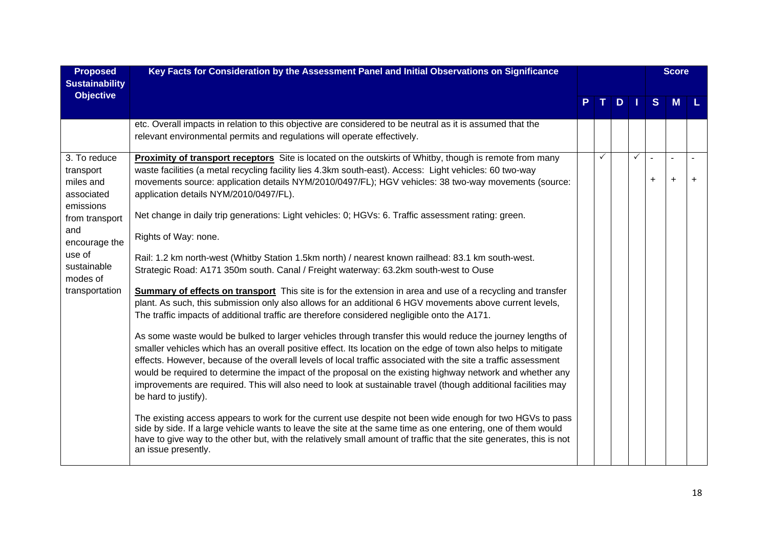| <b>Proposed</b><br><b>Sustainability</b>                          | Key Facts for Consideration by the Assessment Panel and Initial Observations on Significance                                                                                                                                                                                                                                                                                                                                                                                                                                                                                                          |   |                     |              |                             | <b>Score</b>                |           |
|-------------------------------------------------------------------|-------------------------------------------------------------------------------------------------------------------------------------------------------------------------------------------------------------------------------------------------------------------------------------------------------------------------------------------------------------------------------------------------------------------------------------------------------------------------------------------------------------------------------------------------------------------------------------------------------|---|---------------------|--------------|-----------------------------|-----------------------------|-----------|
| <b>Objective</b>                                                  |                                                                                                                                                                                                                                                                                                                                                                                                                                                                                                                                                                                                       |   | $D \mid \cdot \mid$ |              | S                           | <b>M</b>                    |           |
|                                                                   | etc. Overall impacts in relation to this objective are considered to be neutral as it is assumed that the<br>relevant environmental permits and regulations will operate effectively.                                                                                                                                                                                                                                                                                                                                                                                                                 |   |                     |              |                             |                             |           |
| 3. To reduce<br>transport<br>miles and<br>associated<br>emissions | <b>Proximity of transport receptors</b> Site is located on the outskirts of Whitby, though is remote from many<br>waste facilities (a metal recycling facility lies 4.3km south-east). Access: Light vehicles: 60 two-way<br>movements source: application details NYM/2010/0497/FL); HGV vehicles: 38 two-way movements (source:<br>application details NYM/2010/0497/FL).                                                                                                                                                                                                                           | ✓ |                     | $\checkmark$ | $\blacksquare$<br>$\ddot{}$ | $\blacksquare$<br>$\ddot{}$ | $\ddot{}$ |
| from transport<br>and<br>encourage the                            | Net change in daily trip generations: Light vehicles: 0; HGVs: 6. Traffic assessment rating: green.<br>Rights of Way: none.                                                                                                                                                                                                                                                                                                                                                                                                                                                                           |   |                     |              |                             |                             |           |
| use of<br>sustainable<br>modes of                                 | Rail: 1.2 km north-west (Whitby Station 1.5km north) / nearest known railhead: 83.1 km south-west.<br>Strategic Road: A171 350m south. Canal / Freight waterway: 63.2km south-west to Ouse                                                                                                                                                                                                                                                                                                                                                                                                            |   |                     |              |                             |                             |           |
| transportation                                                    | Summary of effects on transport This site is for the extension in area and use of a recycling and transfer<br>plant. As such, this submission only also allows for an additional 6 HGV movements above current levels,<br>The traffic impacts of additional traffic are therefore considered negligible onto the A171.                                                                                                                                                                                                                                                                                |   |                     |              |                             |                             |           |
|                                                                   | As some waste would be bulked to larger vehicles through transfer this would reduce the journey lengths of<br>smaller vehicles which has an overall positive effect. Its location on the edge of town also helps to mitigate<br>effects. However, because of the overall levels of local traffic associated with the site a traffic assessment<br>would be required to determine the impact of the proposal on the existing highway network and whether any<br>improvements are required. This will also need to look at sustainable travel (though additional facilities may<br>be hard to justify). |   |                     |              |                             |                             |           |
|                                                                   | The existing access appears to work for the current use despite not been wide enough for two HGVs to pass<br>side by side. If a large vehicle wants to leave the site at the same time as one entering, one of them would<br>have to give way to the other but, with the relatively small amount of traffic that the site generates, this is not<br>an issue presently.                                                                                                                                                                                                                               |   |                     |              |                             |                             |           |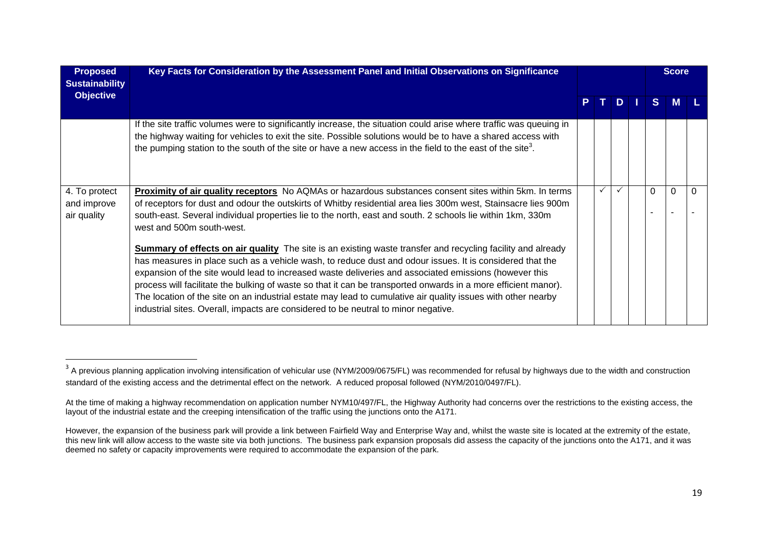| <b>Proposed</b><br><b>Sustainability</b>    | Key Facts for Consideration by the Assessment Panel and Initial Observations on Significance                                                                                                                                                                                                                                                                                                                                                                                                                                                                                                                                                                    |     |            |          | <b>Score</b> |  |
|---------------------------------------------|-----------------------------------------------------------------------------------------------------------------------------------------------------------------------------------------------------------------------------------------------------------------------------------------------------------------------------------------------------------------------------------------------------------------------------------------------------------------------------------------------------------------------------------------------------------------------------------------------------------------------------------------------------------------|-----|------------|----------|--------------|--|
| <b>Objective</b>                            |                                                                                                                                                                                                                                                                                                                                                                                                                                                                                                                                                                                                                                                                 | PT. | <b>ADP</b> | S        | M            |  |
|                                             | If the site traffic volumes were to significantly increase, the situation could arise where traffic was queuing in<br>the highway waiting for vehicles to exit the site. Possible solutions would be to have a shared access with<br>the pumping station to the south of the site or have a new access in the field to the east of the site <sup>3</sup> .                                                                                                                                                                                                                                                                                                      |     |            |          |              |  |
| 4. To protect<br>and improve<br>air quality | Proximity of air quality receptors No AQMAs or hazardous substances consent sites within 5km. In terms<br>of receptors for dust and odour the outskirts of Whitby residential area lies 300m west, Stainsacre lies 900m<br>south-east. Several individual properties lie to the north, east and south. 2 schools lie within 1km, 330m<br>west and 500m south-west.                                                                                                                                                                                                                                                                                              |     |            | $\Omega$ | 0            |  |
|                                             | <b>Summary of effects on air quality</b> The site is an existing waste transfer and recycling facility and already<br>has measures in place such as a vehicle wash, to reduce dust and odour issues. It is considered that the<br>expansion of the site would lead to increased waste deliveries and associated emissions (however this<br>process will facilitate the bulking of waste so that it can be transported onwards in a more efficient manor).<br>The location of the site on an industrial estate may lead to cumulative air quality issues with other nearby<br>industrial sites. Overall, impacts are considered to be neutral to minor negative. |     |            |          |              |  |

 $^3$  A previous planning application involving intensification of vehicular use (NYM/2009/0675/FL) was recommended for refusal by highways due to the width and construction standard of the existing access and the detrimental effect on the network. A reduced proposal followed (NYM/2010/0497/FL).

At the time of making a highway recommendation on application number NYM10/497/FL, the Highway Authority had concerns over the restrictions to the existing access, the layout of the industrial estate and the creeping intensification of the traffic using the junctions onto the A171.

However, the expansion of the business park will provide a link between Fairfield Way and Enterprise Way and, whilst the waste site is located at the extremity of the estate, this new link will allow access to the waste site via both junctions. The business park expansion proposals did assess the capacity of the junctions onto the A171, and it was deemed no safety or capacity improvements were required to accommodate the expansion of the park.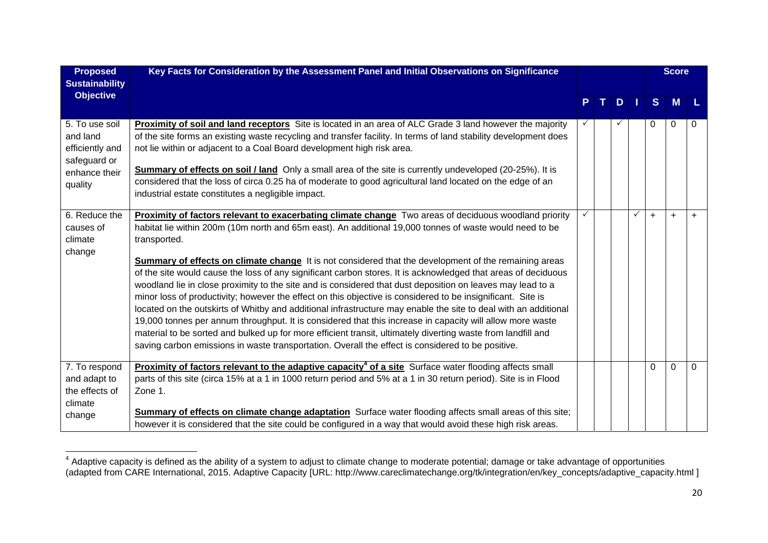| <b>Proposed</b><br><b>Sustainability</b>                                                  | Key Facts for Consideration by the Assessment Panel and Initial Observations on Significance                                                                                                                                                                                                                                                                                                                                                                                                                                                                                                                                                                                                                                                                                                                                                                                                                                                                                                                                                                                                                                                 |  |   |              |              | <b>Score</b> |             |
|-------------------------------------------------------------------------------------------|----------------------------------------------------------------------------------------------------------------------------------------------------------------------------------------------------------------------------------------------------------------------------------------------------------------------------------------------------------------------------------------------------------------------------------------------------------------------------------------------------------------------------------------------------------------------------------------------------------------------------------------------------------------------------------------------------------------------------------------------------------------------------------------------------------------------------------------------------------------------------------------------------------------------------------------------------------------------------------------------------------------------------------------------------------------------------------------------------------------------------------------------|--|---|--------------|--------------|--------------|-------------|
| <b>Objective</b>                                                                          |                                                                                                                                                                                                                                                                                                                                                                                                                                                                                                                                                                                                                                                                                                                                                                                                                                                                                                                                                                                                                                                                                                                                              |  | D |              | <sub>S</sub> | <b>M</b>     |             |
| 5. To use soil<br>and land<br>efficiently and<br>safeguard or<br>enhance their<br>quality | <b>Proximity of soil and land receptors</b> Site is located in an area of ALC Grade 3 land however the majority<br>of the site forms an existing waste recycling and transfer facility. In terms of land stability development does<br>not lie within or adjacent to a Coal Board development high risk area.<br><b>Summary of effects on soil / land</b> Only a small area of the site is currently undeveloped (20-25%). It is<br>considered that the loss of circa 0.25 ha of moderate to good agricultural land located on the edge of an<br>industrial estate constitutes a negligible impact.                                                                                                                                                                                                                                                                                                                                                                                                                                                                                                                                          |  |   |              | 0            | 0            | 0           |
| 6. Reduce the<br>causes of<br>climate<br>change                                           | Proximity of factors relevant to exacerbating climate change Two areas of deciduous woodland priority<br>habitat lie within 200m (10m north and 65m east). An additional 19,000 tonnes of waste would need to be<br>transported.<br>Summary of effects on climate change It is not considered that the development of the remaining areas<br>of the site would cause the loss of any significant carbon stores. It is acknowledged that areas of deciduous<br>woodland lie in close proximity to the site and is considered that dust deposition on leaves may lead to a<br>minor loss of productivity; however the effect on this objective is considered to be insignificant. Site is<br>located on the outskirts of Whitby and additional infrastructure may enable the site to deal with an additional<br>19,000 tonnes per annum throughput. It is considered that this increase in capacity will allow more waste<br>material to be sorted and bulked up for more efficient transit, ultimately diverting waste from landfill and<br>saving carbon emissions in waste transportation. Overall the effect is considered to be positive. |  |   | $\checkmark$ | $\ddot{}$    | $\ddot{}$    | $+$         |
| 7. To respond<br>and adapt to<br>the effects of<br>climate<br>change                      | <b>Proximity of factors relevant to the adaptive capacity<sup>4</sup> of a site</b> Surface water flooding affects small<br>parts of this site (circa 15% at a 1 in 1000 return period and 5% at a 1 in 30 return period). Site is in Flood<br>Zone 1.<br>Summary of effects on climate change adaptation Surface water flooding affects small areas of this site;<br>however it is considered that the site could be configured in a way that would avoid these high risk areas.                                                                                                                                                                                                                                                                                                                                                                                                                                                                                                                                                                                                                                                            |  |   |              | $\Omega$     | $\mathbf 0$  | $\mathbf 0$ |

 $^4$  Adaptive capacity is defined as the ability of a system to adjust to climate change to moderate potential; damage or take advantage of opportunities (adapted from CARE International, 2015. Adaptive Capacity [URL: http://www.careclimatechange.org/tk/integration/en/key\_concepts/adaptive\_capacity.html ]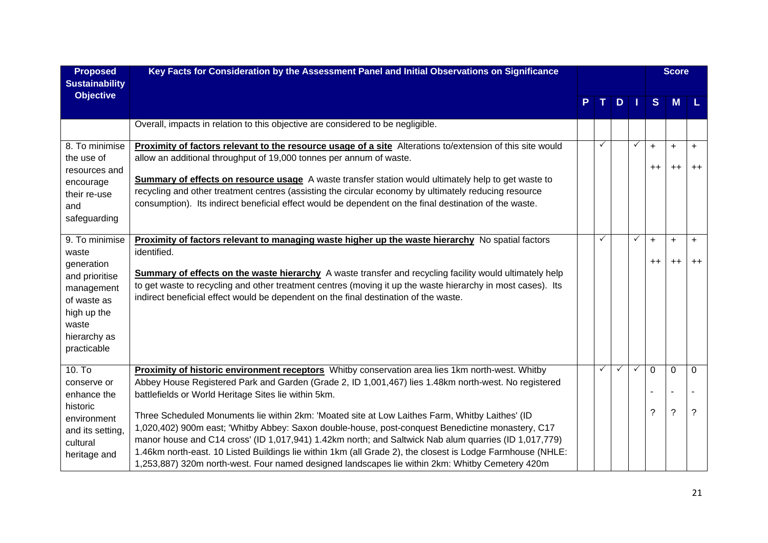| <b>Proposed</b>                                                                                                  | Key Facts for Consideration by the Assessment Panel and Initial Observations on Significance                                                                                                                                                                                                                                                                                                                                                                                                                                                                                           |              |     |              |                               | <b>Score</b>      |             |
|------------------------------------------------------------------------------------------------------------------|----------------------------------------------------------------------------------------------------------------------------------------------------------------------------------------------------------------------------------------------------------------------------------------------------------------------------------------------------------------------------------------------------------------------------------------------------------------------------------------------------------------------------------------------------------------------------------------|--------------|-----|--------------|-------------------------------|-------------------|-------------|
| <b>Sustainability</b><br><b>Objective</b>                                                                        |                                                                                                                                                                                                                                                                                                                                                                                                                                                                                                                                                                                        |              | TDI |              | S                             | <b>M</b>          |             |
|                                                                                                                  | Overall, impacts in relation to this objective are considered to be negligible.                                                                                                                                                                                                                                                                                                                                                                                                                                                                                                        |              |     |              |                               |                   |             |
| 8. To minimise<br>the use of<br>resources and<br>encourage<br>their re-use<br>and<br>safeguarding                | Proximity of factors relevant to the resource usage of a site Alterations to/extension of this site would<br>allow an additional throughput of 19,000 tonnes per annum of waste.<br>Summary of effects on resource usage A waste transfer station would ultimately help to get waste to<br>recycling and other treatment centres (assisting the circular economy by ultimately reducing resource<br>consumption). Its indirect beneficial effect would be dependent on the final destination of the waste.                                                                             | $\checkmark$ |     | ✓            | $\ddot{}$<br>$^{\mathrm{+}}$  | $\ddot{}$<br>$++$ | $+$<br>$++$ |
| 9. To minimise<br>waste                                                                                          | Proximity of factors relevant to managing waste higher up the waste hierarchy No spatial factors<br>identified.                                                                                                                                                                                                                                                                                                                                                                                                                                                                        | $\checkmark$ |     | ✓            | $+$                           | $+$               | $+$         |
| generation<br>and prioritise<br>management<br>of waste as<br>high up the<br>waste<br>hierarchy as<br>practicable | Summary of effects on the waste hierarchy A waste transfer and recycling facility would ultimately help<br>to get waste to recycling and other treatment centres (moving it up the waste hierarchy in most cases). Its<br>indirect beneficial effect would be dependent on the final destination of the waste.                                                                                                                                                                                                                                                                         |              |     |              | $^{\mathrm{+}}$               | $++$              | $++$        |
| $10.$ To<br>conserve or                                                                                          | Proximity of historic environment receptors Whitby conservation area lies 1km north-west. Whitby<br>Abbey House Registered Park and Garden (Grade 2, ID 1,001,467) lies 1.48km north-west. No registered                                                                                                                                                                                                                                                                                                                                                                               | $\checkmark$ | ✓   | $\checkmark$ | $\mathbf 0$<br>$\blacksquare$ | $\mathbf 0$       | $\mathbf 0$ |
| enhance the<br>historic<br>environment<br>and its setting,<br>cultural<br>heritage and                           | battlefields or World Heritage Sites lie within 5km.<br>Three Scheduled Monuments lie within 2km: 'Moated site at Low Laithes Farm, Whitby Laithes' (ID<br>1,020,402) 900m east; 'Whitby Abbey: Saxon double-house, post-conquest Benedictine monastery, C17<br>manor house and C14 cross' (ID 1,017,941) 1.42km north; and Saltwick Nab alum quarries (ID 1,017,779)<br>1.46km north-east. 10 Listed Buildings lie within 1km (all Grade 2), the closest is Lodge Farmhouse (NHLE:<br>1,253,887) 320m north-west. Four named designed landscapes lie within 2km: Whitby Cemetery 420m |              |     |              | ?                             | $\gamma$          | ?           |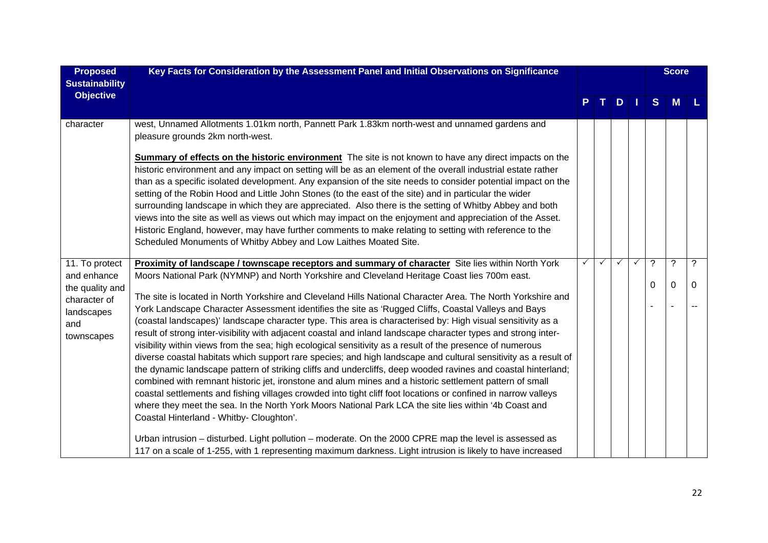| <b>Proposed</b><br><b>Sustainability</b>                                          | Key Facts for Consideration by the Assessment Panel and Initial Observations on Significance                                                                                                                                                                                                                                                                                                                                                                                                                                                                                                                                                                                                                                                                                                                                                                                                                                                                                                                                                                                                                                                                                                                                                                                           |   |   |              | <b>Score</b> |          |
|-----------------------------------------------------------------------------------|----------------------------------------------------------------------------------------------------------------------------------------------------------------------------------------------------------------------------------------------------------------------------------------------------------------------------------------------------------------------------------------------------------------------------------------------------------------------------------------------------------------------------------------------------------------------------------------------------------------------------------------------------------------------------------------------------------------------------------------------------------------------------------------------------------------------------------------------------------------------------------------------------------------------------------------------------------------------------------------------------------------------------------------------------------------------------------------------------------------------------------------------------------------------------------------------------------------------------------------------------------------------------------------|---|---|--------------|--------------|----------|
| <b>Objective</b>                                                                  |                                                                                                                                                                                                                                                                                                                                                                                                                                                                                                                                                                                                                                                                                                                                                                                                                                                                                                                                                                                                                                                                                                                                                                                                                                                                                        |   | D | <sub>S</sub> | <b>M</b>     |          |
| character                                                                         | west, Unnamed Allotments 1.01km north, Pannett Park 1.83km north-west and unnamed gardens and<br>pleasure grounds 2km north-west.                                                                                                                                                                                                                                                                                                                                                                                                                                                                                                                                                                                                                                                                                                                                                                                                                                                                                                                                                                                                                                                                                                                                                      |   |   |              |              |          |
|                                                                                   | <b>Summary of effects on the historic environment</b> The site is not known to have any direct impacts on the<br>historic environment and any impact on setting will be as an element of the overall industrial estate rather<br>than as a specific isolated development. Any expansion of the site needs to consider potential impact on the<br>setting of the Robin Hood and Little John Stones (to the east of the site) and in particular the wider<br>surrounding landscape in which they are appreciated. Also there is the setting of Whitby Abbey and both<br>views into the site as well as views out which may impact on the enjoyment and appreciation of the Asset.<br>Historic England, however, may have further comments to make relating to setting with reference to the<br>Scheduled Monuments of Whitby Abbey and Low Laithes Moated Site.                                                                                                                                                                                                                                                                                                                                                                                                                          |   |   |              |              |          |
| 11. To protect                                                                    | Proximity of landscape / townscape receptors and summary of character Site lies within North York                                                                                                                                                                                                                                                                                                                                                                                                                                                                                                                                                                                                                                                                                                                                                                                                                                                                                                                                                                                                                                                                                                                                                                                      | ✓ |   | ?            | $\ddot{?}$   | ?        |
| and enhance<br>the quality and<br>character of<br>landscapes<br>and<br>townscapes | Moors National Park (NYMNP) and North Yorkshire and Cleveland Heritage Coast lies 700m east.<br>The site is located in North Yorkshire and Cleveland Hills National Character Area. The North Yorkshire and<br>York Landscape Character Assessment identifies the site as 'Rugged Cliffs, Coastal Valleys and Bays<br>(coastal landscapes)' landscape character type. This area is characterised by: High visual sensitivity as a<br>result of strong inter-visibility with adjacent coastal and inland landscape character types and strong inter-<br>visibility within views from the sea; high ecological sensitivity as a result of the presence of numerous<br>diverse coastal habitats which support rare species; and high landscape and cultural sensitivity as a result of<br>the dynamic landscape pattern of striking cliffs and undercliffs, deep wooded ravines and coastal hinterland;<br>combined with remnant historic jet, ironstone and alum mines and a historic settlement pattern of small<br>coastal settlements and fishing villages crowded into tight cliff foot locations or confined in narrow valleys<br>where they meet the sea. In the North York Moors National Park LCA the site lies within '4b Coast and<br>Coastal Hinterland - Whitby- Cloughton'. |   |   | 0            | $\mathbf{0}$ | $\Omega$ |
|                                                                                   | Urban intrusion – disturbed. Light pollution – moderate. On the 2000 CPRE map the level is assessed as<br>117 on a scale of 1-255, with 1 representing maximum darkness. Light intrusion is likely to have increased                                                                                                                                                                                                                                                                                                                                                                                                                                                                                                                                                                                                                                                                                                                                                                                                                                                                                                                                                                                                                                                                   |   |   |              |              |          |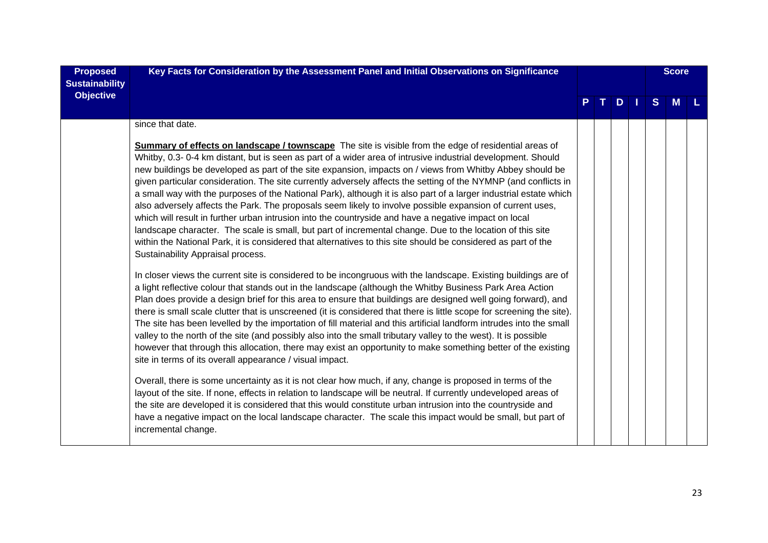| <b>Proposed</b><br><b>Sustainability</b> | Key Facts for Consideration by the Assessment Panel and Initial Observations on Significance                                                                                                                                                                                                                                                                                                                                                                                                                                                                                                                                                                                                                                                                                                                                                                                                                                                                                                                                                                              |    |  |  |  |   | <b>Score</b> |  |  |  |
|------------------------------------------|---------------------------------------------------------------------------------------------------------------------------------------------------------------------------------------------------------------------------------------------------------------------------------------------------------------------------------------------------------------------------------------------------------------------------------------------------------------------------------------------------------------------------------------------------------------------------------------------------------------------------------------------------------------------------------------------------------------------------------------------------------------------------------------------------------------------------------------------------------------------------------------------------------------------------------------------------------------------------------------------------------------------------------------------------------------------------|----|--|--|--|---|--------------|--|--|--|
| <b>Objective</b>                         |                                                                                                                                                                                                                                                                                                                                                                                                                                                                                                                                                                                                                                                                                                                                                                                                                                                                                                                                                                                                                                                                           | P. |  |  |  | S | M            |  |  |  |
|                                          | since that date.                                                                                                                                                                                                                                                                                                                                                                                                                                                                                                                                                                                                                                                                                                                                                                                                                                                                                                                                                                                                                                                          |    |  |  |  |   |              |  |  |  |
|                                          | <b>Summary of effects on landscape / townscape</b> The site is visible from the edge of residential areas of<br>Whitby, 0.3- 0-4 km distant, but is seen as part of a wider area of intrusive industrial development. Should<br>new buildings be developed as part of the site expansion, impacts on / views from Whitby Abbey should be<br>given particular consideration. The site currently adversely affects the setting of the NYMNP (and conflicts in<br>a small way with the purposes of the National Park), although it is also part of a larger industrial estate which<br>also adversely affects the Park. The proposals seem likely to involve possible expansion of current uses,<br>which will result in further urban intrusion into the countryside and have a negative impact on local<br>landscape character. The scale is small, but part of incremental change. Due to the location of this site<br>within the National Park, it is considered that alternatives to this site should be considered as part of the<br>Sustainability Appraisal process. |    |  |  |  |   |              |  |  |  |
|                                          | In closer views the current site is considered to be incongruous with the landscape. Existing buildings are of<br>a light reflective colour that stands out in the landscape (although the Whitby Business Park Area Action<br>Plan does provide a design brief for this area to ensure that buildings are designed well going forward), and<br>there is small scale clutter that is unscreened (it is considered that there is little scope for screening the site).<br>The site has been levelled by the importation of fill material and this artificial landform intrudes into the small<br>valley to the north of the site (and possibly also into the small tributary valley to the west). It is possible<br>however that through this allocation, there may exist an opportunity to make something better of the existing<br>site in terms of its overall appearance / visual impact.                                                                                                                                                                              |    |  |  |  |   |              |  |  |  |
|                                          | Overall, there is some uncertainty as it is not clear how much, if any, change is proposed in terms of the<br>layout of the site. If none, effects in relation to landscape will be neutral. If currently undeveloped areas of<br>the site are developed it is considered that this would constitute urban intrusion into the countryside and<br>have a negative impact on the local landscape character. The scale this impact would be small, but part of<br>incremental change.                                                                                                                                                                                                                                                                                                                                                                                                                                                                                                                                                                                        |    |  |  |  |   |              |  |  |  |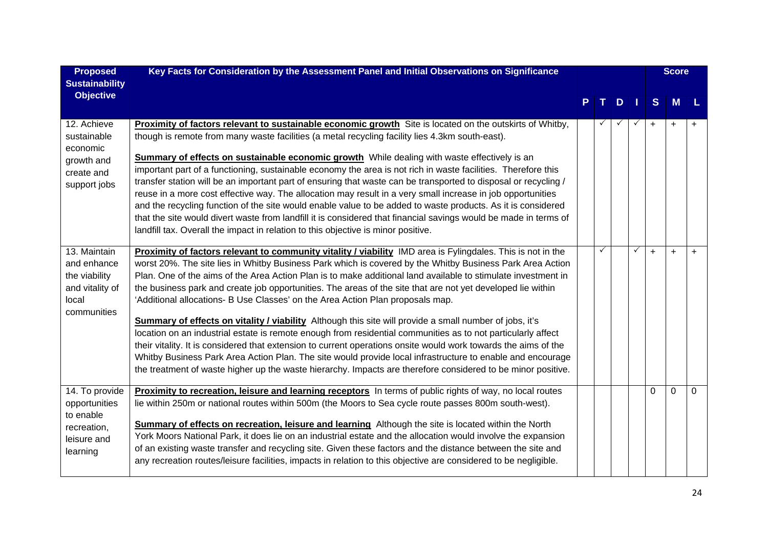| <b>Proposed</b><br><b>Sustainability</b>                                                | Key Facts for Consideration by the Assessment Panel and Initial Observations on Significance                                                                                                                                                                                                                                                                                                                                                                                                                                                                                                                                                                                                                                                                                                                                                                                                                                                                                                                                                                                                                           |  |   |   |              | <b>Score</b> |           |           |
|-----------------------------------------------------------------------------------------|------------------------------------------------------------------------------------------------------------------------------------------------------------------------------------------------------------------------------------------------------------------------------------------------------------------------------------------------------------------------------------------------------------------------------------------------------------------------------------------------------------------------------------------------------------------------------------------------------------------------------------------------------------------------------------------------------------------------------------------------------------------------------------------------------------------------------------------------------------------------------------------------------------------------------------------------------------------------------------------------------------------------------------------------------------------------------------------------------------------------|--|---|---|--------------|--------------|-----------|-----------|
| <b>Objective</b>                                                                        |                                                                                                                                                                                                                                                                                                                                                                                                                                                                                                                                                                                                                                                                                                                                                                                                                                                                                                                                                                                                                                                                                                                        |  |   | D |              | S            | M         |           |
| 12. Achieve<br>sustainable<br>economic                                                  | Proximity of factors relevant to sustainable economic growth Site is located on the outskirts of Whitby,<br>though is remote from many waste facilities (a metal recycling facility lies 4.3km south-east).                                                                                                                                                                                                                                                                                                                                                                                                                                                                                                                                                                                                                                                                                                                                                                                                                                                                                                            |  |   |   | $\checkmark$ | $\ddot{}$    | $+$       |           |
| growth and<br>create and<br>support jobs                                                | Summary of effects on sustainable economic growth While dealing with waste effectively is an<br>important part of a functioning, sustainable economy the area is not rich in waste facilities. Therefore this<br>transfer station will be an important part of ensuring that waste can be transported to disposal or recycling /<br>reuse in a more cost effective way. The allocation may result in a very small increase in job opportunities<br>and the recycling function of the site would enable value to be added to waste products. As it is considered<br>that the site would divert waste from landfill it is considered that financial savings would be made in terms of<br>landfill tax. Overall the impact in relation to this objective is minor positive.                                                                                                                                                                                                                                                                                                                                               |  |   |   |              |              |           |           |
| 13. Maintain<br>and enhance<br>the viability<br>and vitality of<br>local<br>communities | Proximity of factors relevant to community vitality / viability IMD area is Fylingdales. This is not in the<br>worst 20%. The site lies in Whitby Business Park which is covered by the Whitby Business Park Area Action<br>Plan. One of the aims of the Area Action Plan is to make additional land available to stimulate investment in<br>the business park and create job opportunities. The areas of the site that are not yet developed lie within<br>'Additional allocations- B Use Classes' on the Area Action Plan proposals map.<br>Summary of effects on vitality / viability Although this site will provide a small number of jobs, it's<br>location on an industrial estate is remote enough from residential communities as to not particularly affect<br>their vitality. It is considered that extension to current operations onsite would work towards the aims of the<br>Whitby Business Park Area Action Plan. The site would provide local infrastructure to enable and encourage<br>the treatment of waste higher up the waste hierarchy. Impacts are therefore considered to be minor positive. |  | ✓ |   | ✓            | $\ddot{}$    | $\ddot{}$ | $\ddot{}$ |
| 14. To provide<br>opportunities<br>to enable<br>recreation,<br>leisure and<br>learning  | Proximity to recreation, leisure and learning receptors In terms of public rights of way, no local routes<br>lie within 250m or national routes within 500m (the Moors to Sea cycle route passes 800m south-west).<br>Summary of effects on recreation, leisure and learning Although the site is located within the North<br>York Moors National Park, it does lie on an industrial estate and the allocation would involve the expansion<br>of an existing waste transfer and recycling site. Given these factors and the distance between the site and<br>any recreation routes/leisure facilities, impacts in relation to this objective are considered to be negligible.                                                                                                                                                                                                                                                                                                                                                                                                                                          |  |   |   |              | 0            | 0         | 0         |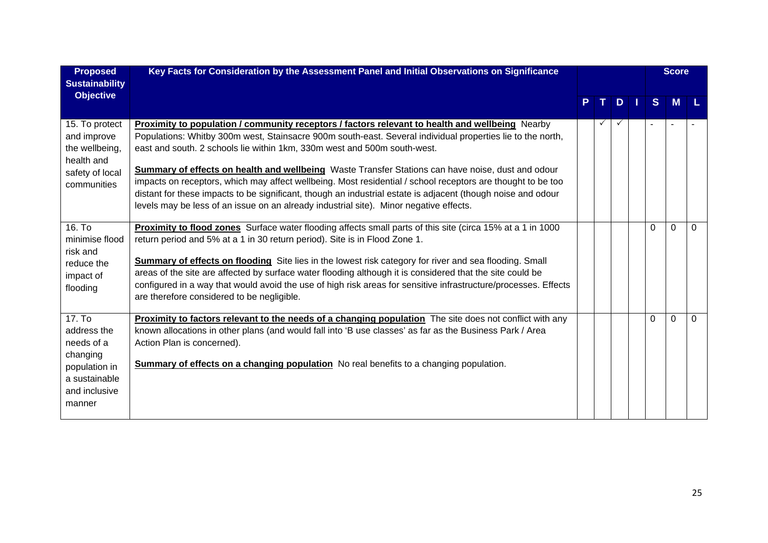| <b>Proposed</b><br><b>Sustainability</b>                                                                     | Key Facts for Consideration by the Assessment Panel and Initial Observations on Significance                                                                                                                                                                                                                                                                                                                                                                                                                                                                                                                                                                                                                                   |  |   |              | <b>Score</b> |          |   |
|--------------------------------------------------------------------------------------------------------------|--------------------------------------------------------------------------------------------------------------------------------------------------------------------------------------------------------------------------------------------------------------------------------------------------------------------------------------------------------------------------------------------------------------------------------------------------------------------------------------------------------------------------------------------------------------------------------------------------------------------------------------------------------------------------------------------------------------------------------|--|---|--------------|--------------|----------|---|
| <b>Objective</b>                                                                                             |                                                                                                                                                                                                                                                                                                                                                                                                                                                                                                                                                                                                                                                                                                                                |  |   | D.           | S            | <b>M</b> |   |
| 15. To protect<br>and improve<br>the wellbeing,<br>health and<br>safety of local<br>communities              | <b>Proximity to population / community receptors / factors relevant to health and wellbeing</b> Nearby<br>Populations: Whitby 300m west, Stainsacre 900m south-east. Several individual properties lie to the north,<br>east and south. 2 schools lie within 1km, 330m west and 500m south-west.<br>Summary of effects on health and wellbeing Waste Transfer Stations can have noise, dust and odour<br>impacts on receptors, which may affect wellbeing. Most residential / school receptors are thought to be too<br>distant for these impacts to be significant, though an industrial estate is adjacent (though noise and odour<br>levels may be less of an issue on an already industrial site). Minor negative effects. |  | ✓ | $\checkmark$ |              |          |   |
| 16. T <sub>o</sub><br>minimise flood<br>risk and<br>reduce the<br>impact of<br>flooding                      | Proximity to flood zones Surface water flooding affects small parts of this site (circa 15% at a 1 in 1000<br>return period and 5% at a 1 in 30 return period). Site is in Flood Zone 1.<br><b>Summary of effects on flooding</b> Site lies in the lowest risk category for river and sea flooding. Small<br>areas of the site are affected by surface water flooding although it is considered that the site could be<br>configured in a way that would avoid the use of high risk areas for sensitive infrastructure/processes. Effects<br>are therefore considered to be negligible.                                                                                                                                        |  |   |              | 0            | $\Omega$ | 0 |
| 17. To<br>address the<br>needs of a<br>changing<br>population in<br>a sustainable<br>and inclusive<br>manner | Proximity to factors relevant to the needs of a changing population The site does not conflict with any<br>known allocations in other plans (and would fall into 'B use classes' as far as the Business Park / Area<br>Action Plan is concerned).<br><b>Summary of effects on a changing population</b> No real benefits to a changing population.                                                                                                                                                                                                                                                                                                                                                                             |  |   |              | $\Omega$     | $\Omega$ | 0 |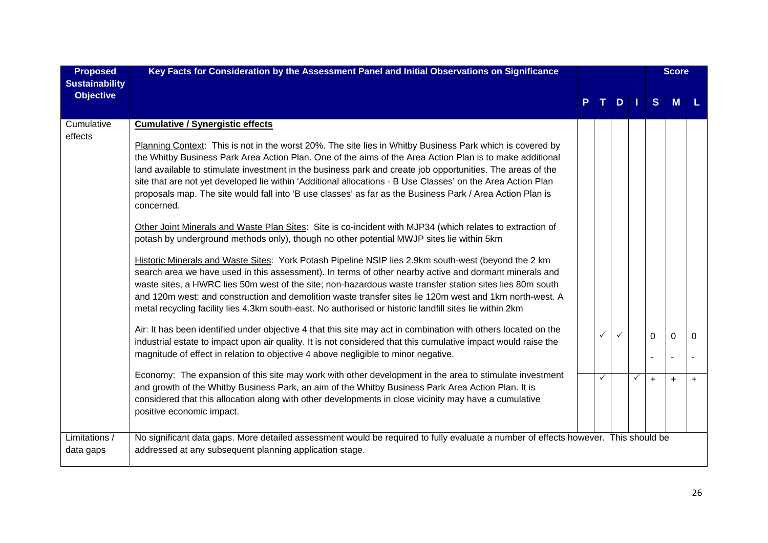| <b>Proposed</b>                           | Key Facts for Consideration by the Assessment Panel and Initial Observations on Significance                                                                                                                                                                                                                                                                                                                                                                                                                                                                                                                                                                                               |  |   |               | <b>Score</b> |          |          |
|-------------------------------------------|--------------------------------------------------------------------------------------------------------------------------------------------------------------------------------------------------------------------------------------------------------------------------------------------------------------------------------------------------------------------------------------------------------------------------------------------------------------------------------------------------------------------------------------------------------------------------------------------------------------------------------------------------------------------------------------------|--|---|---------------|--------------|----------|----------|
| <b>Sustainability</b><br><b>Objective</b> |                                                                                                                                                                                                                                                                                                                                                                                                                                                                                                                                                                                                                                                                                            |  |   | $D \mid \mid$ | S            | <b>M</b> |          |
| Cumulative<br>effects                     | <b>Cumulative / Synergistic effects</b>                                                                                                                                                                                                                                                                                                                                                                                                                                                                                                                                                                                                                                                    |  |   |               |              |          |          |
|                                           | Planning Context: This is not in the worst 20%. The site lies in Whitby Business Park which is covered by<br>the Whitby Business Park Area Action Plan. One of the aims of the Area Action Plan is to make additional<br>land available to stimulate investment in the business park and create job opportunities. The areas of the<br>site that are not yet developed lie within 'Additional allocations - B Use Classes' on the Area Action Plan<br>proposals map. The site would fall into 'B use classes' as far as the Business Park / Area Action Plan is<br>concerned.<br>Other Joint Minerals and Waste Plan Sites: Site is co-incident with MJP34 (which relates to extraction of |  |   |               |              |          |          |
|                                           | potash by underground methods only), though no other potential MWJP sites lie within 5km<br>Historic Minerals and Waste Sites: York Potash Pipeline NSIP lies 2.9km south-west (beyond the 2 km<br>search area we have used in this assessment). In terms of other nearby active and dormant minerals and<br>waste sites, a HWRC lies 50m west of the site; non-hazardous waste transfer station sites lies 80m south<br>and 120m west; and construction and demolition waste transfer sites lie 120m west and 1km north-west. A<br>metal recycling facility lies 4.3km south-east. No authorised or historic landfill sites lie within 2km                                                |  |   |               |              |          |          |
|                                           | Air: It has been identified under objective 4 that this site may act in combination with others located on the<br>industrial estate to impact upon air quality. It is not considered that this cumulative impact would raise the<br>magnitude of effect in relation to objective 4 above negligible to minor negative.                                                                                                                                                                                                                                                                                                                                                                     |  |   |               | $\Omega$     | $\Omega$ | $\Omega$ |
|                                           | Economy: The expansion of this site may work with other development in the area to stimulate investment<br>and growth of the Whitby Business Park, an aim of the Whitby Business Park Area Action Plan. It is<br>considered that this allocation along with other developments in close vicinity may have a cumulative<br>positive economic impact.                                                                                                                                                                                                                                                                                                                                        |  | ✓ | ✓             | $+$          | $+$      | $+$      |
| Limitations /<br>data gaps                | No significant data gaps. More detailed assessment would be required to fully evaluate a number of effects however. This should be<br>addressed at any subsequent planning application stage.                                                                                                                                                                                                                                                                                                                                                                                                                                                                                              |  |   |               |              |          |          |